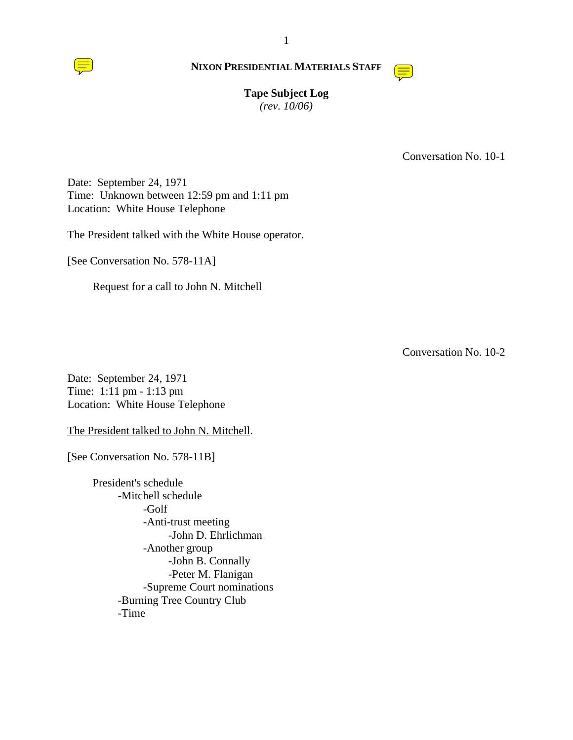



# **Tape Subject Log**

*(rev. 10/06)*

Conversation No. 10-1

Date: September 24, 1971 Time: Unknown between 12:59 pm and 1:11 pm Location: White House Telephone

The President talked with the White House operator.

[See Conversation No. 578-11A]

Request for a call to John N. Mitchell

Conversation No. 10-2

Date: September 24, 1971 Time: 1:11 pm - 1:13 pm Location: White House Telephone

The President talked to John N. Mitchell.

[See Conversation No. 578-11B]

President's schedule -Mitchell schedule -Golf -Anti-trust meeting -John D. Ehrlichman -Another group -John B. Connally -Peter M. Flanigan -Supreme Court nominations -Burning Tree Country Club -Time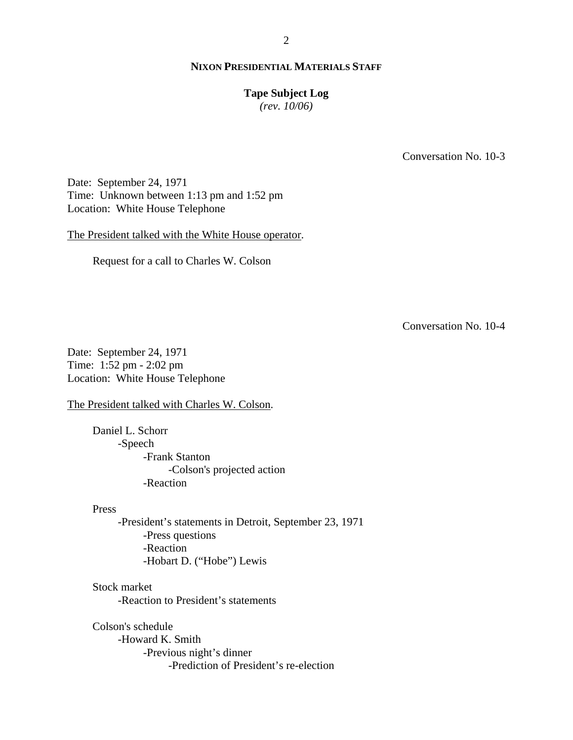# **Tape Subject Log**

*(rev. 10/06)*

Conversation No. 10-3

Date: September 24, 1971 Time: Unknown between 1:13 pm and 1:52 pm Location: White House Telephone

The President talked with the White House operator.

Request for a call to Charles W. Colson

Conversation No. 10-4

Date: September 24, 1971 Time: 1:52 pm - 2:02 pm Location: White House Telephone

The President talked with Charles W. Colson.

Daniel L. Schorr -Speech -Frank Stanton -Colson's projected action -Reaction

# Press

-President's statements in Detroit, September 23, 1971 -Press questions -Reaction -Hobart D. ("Hobe") Lewis

Stock market

-Reaction to President's statements

Colson's schedule

-Howard K. Smith -Previous night's dinner -Prediction of President's re-election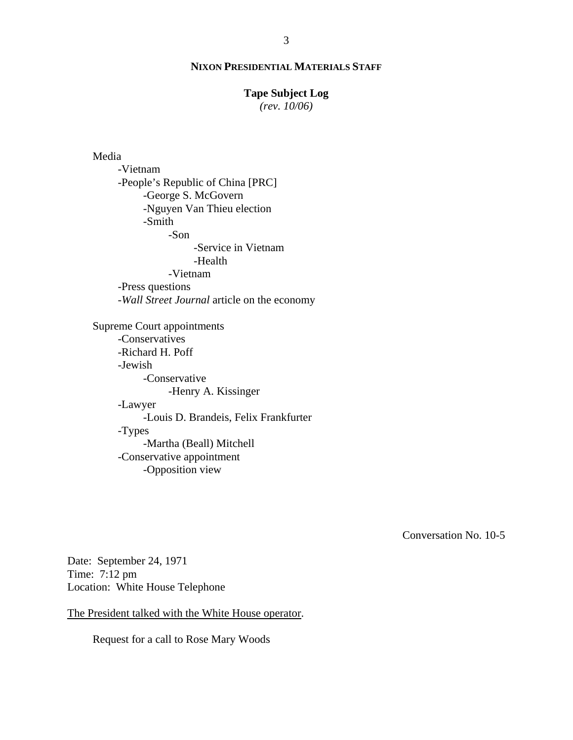### **Tape Subject Log**

*(rev. 10/06)*

### Media

-Vietnam -People's Republic of China [PRC] -George S. McGovern -Nguyen Van Thieu election -Smith -Son -Service in Vietnam -Health -Vietnam -Press questions -*Wall Street Journal* article on the economy Supreme Court appointments -Conservatives -Richard H. Poff -Jewish -Conservative -Henry A. Kissinger -Lawyer -Louis D. Brandeis, Felix Frankfurter -Types -Martha (Beall) Mitchell -Conservative appointment -Opposition view

Conversation No. 10-5

Date: September 24, 1971 Time: 7:12 pm Location: White House Telephone

The President talked with the White House operator.

Request for a call to Rose Mary Woods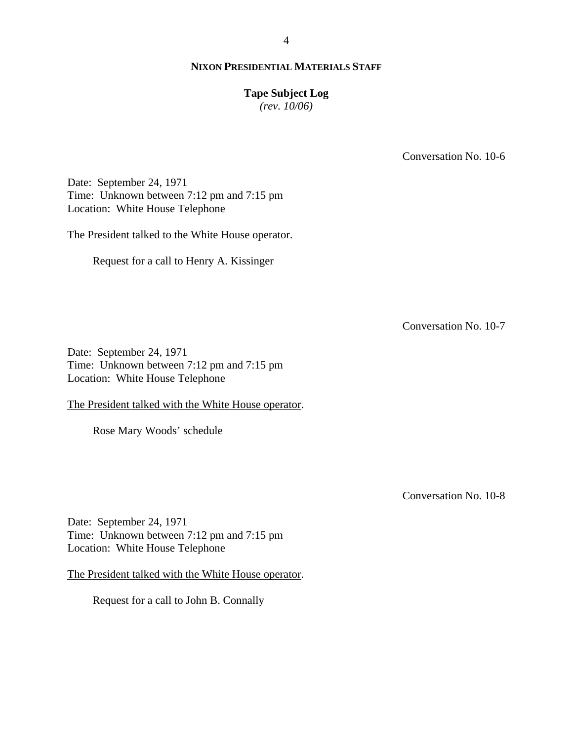### **Tape Subject Log**

*(rev. 10/06)*

Conversation No. 10-6

Date: September 24, 1971 Time: Unknown between 7:12 pm and 7:15 pm Location: White House Telephone

The President talked to the White House operator.

Request for a call to Henry A. Kissinger

Conversation No. 10-7

Date: September 24, 1971 Time: Unknown between 7:12 pm and 7:15 pm Location: White House Telephone

The President talked with the White House operator.

Rose Mary Woods' schedule

Conversation No. 10-8

Date: September 24, 1971 Time: Unknown between 7:12 pm and 7:15 pm Location: White House Telephone

The President talked with the White House operator.

Request for a call to John B. Connally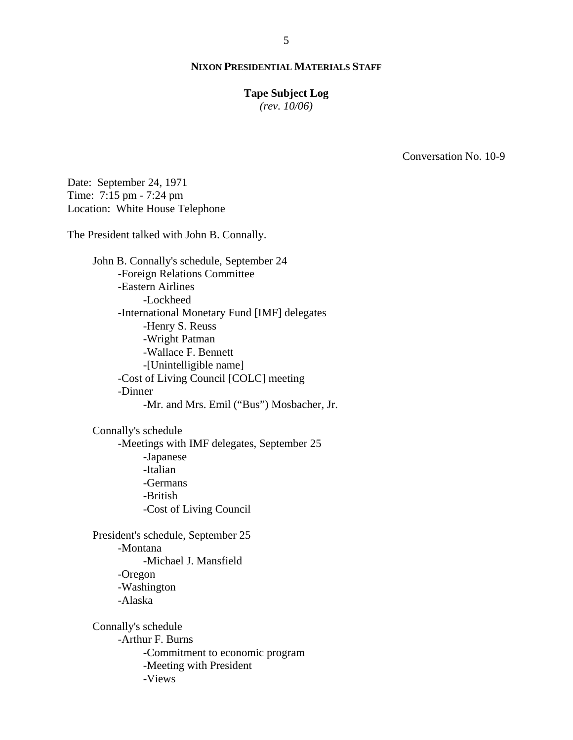### **Tape Subject Log**

*(rev. 10/06)*

Conversation No. 10-9

Date: September 24, 1971 Time: 7:15 pm - 7:24 pm Location: White House Telephone

The President talked with John B. Connally.

John B. Connally's schedule, September 24 -Foreign Relations Committee -Eastern Airlines -Lockheed -International Monetary Fund [IMF] delegates -Henry S. Reuss -Wright Patman -Wallace F. Bennett -[Unintelligible name] -Cost of Living Council [COLC] meeting -Dinner -Mr. and Mrs. Emil ("Bus") Mosbacher, Jr.

Connally's schedule -Meetings with IMF delegates, September 25 -Japanese -Italian -Germans -British -Cost of Living Council

President's schedule, September 25 -Montana -Michael J. Mansfield -Oregon -Washington -Alaska

Connally's schedule -Arthur F. Burns -Commitment to economic program -Meeting with President -Views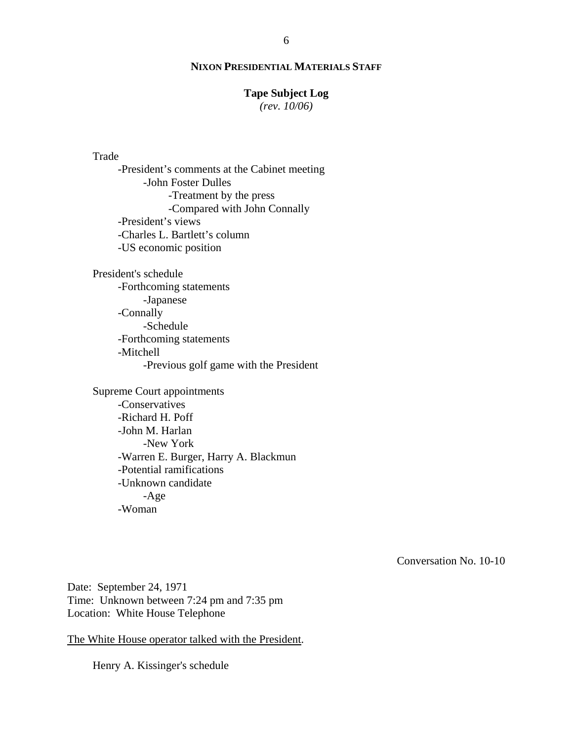# **Tape Subject Log**

*(rev. 10/06)*

### Trade

-President's comments at the Cabinet meeting -John Foster Dulles -Treatment by the press -Compared with John Connally -President's views -Charles L. Bartlett's column -US economic position

President's schedule -Forthcoming statements -Japanese -Connally -Schedule -Forthcoming statements -Mitchell -Previous golf game with the President

Supreme Court appointments -Conservatives -Richard H. Poff -John M. Harlan -New York -Warren E. Burger, Harry A. Blackmun -Potential ramifications -Unknown candidate -Age -Woman

Conversation No. 10-10

Date: September 24, 1971 Time: Unknown between 7:24 pm and 7:35 pm Location: White House Telephone

The White House operator talked with the President.

Henry A. Kissinger's schedule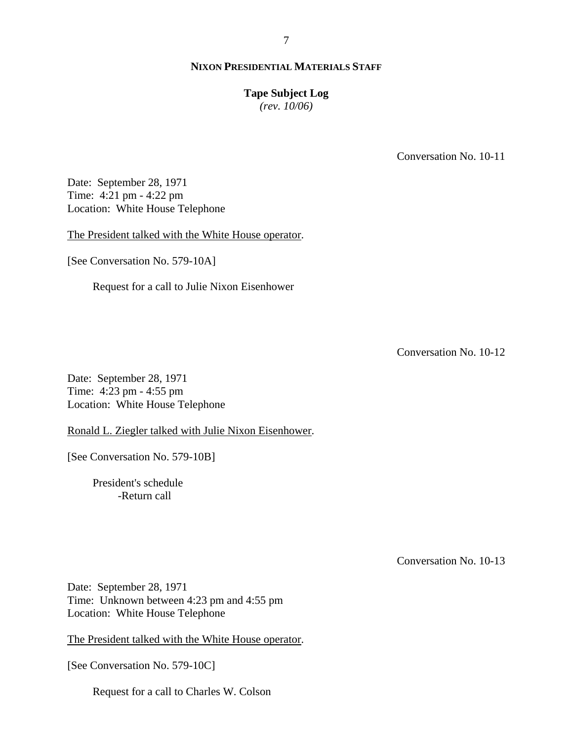### **Tape Subject Log**

*(rev. 10/06)*

Conversation No. 10-11

Date: September 28, 1971 Time: 4:21 pm - 4:22 pm Location: White House Telephone

The President talked with the White House operator.

[See Conversation No. 579-10A]

Request for a call to Julie Nixon Eisenhower

Conversation No. 10-12

Date: September 28, 1971 Time: 4:23 pm - 4:55 pm Location: White House Telephone

Ronald L. Ziegler talked with Julie Nixon Eisenhower.

[See Conversation No. 579-10B]

President's schedule -Return call

Conversation No. 10-13

Date: September 28, 1971 Time: Unknown between 4:23 pm and 4:55 pm Location: White House Telephone

The President talked with the White House operator.

[See Conversation No. 579-10C]

Request for a call to Charles W. Colson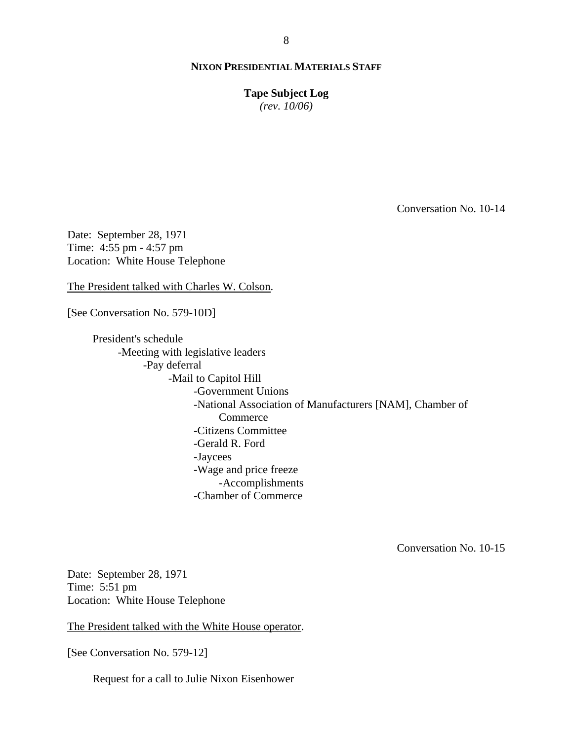**Tape Subject Log**

*(rev. 10/06)*

Conversation No. 10-14

Date: September 28, 1971 Time: 4:55 pm - 4:57 pm Location: White House Telephone

The President talked with Charles W. Colson.

[See Conversation No. 579-10D]

President's schedule -Meeting with legislative leaders -Pay deferral -Mail to Capitol Hill -Government Unions -National Association of Manufacturers [NAM], Chamber of **Commerce** -Citizens Committee -Gerald R. Ford -Jaycees -Wage and price freeze -Accomplishments -Chamber of Commerce

Conversation No. 10-15

Date: September 28, 1971 Time: 5:51 pm Location: White House Telephone

The President talked with the White House operator.

[See Conversation No. 579-12]

Request for a call to Julie Nixon Eisenhower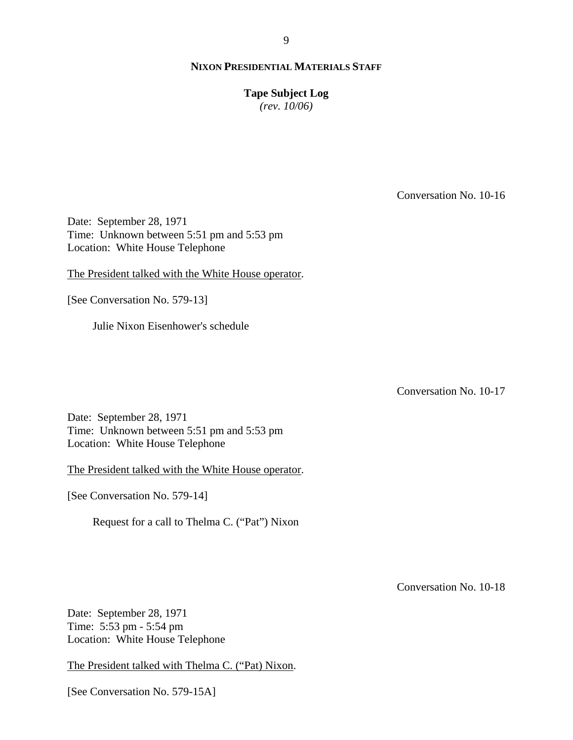**Tape Subject Log**

*(rev. 10/06)*

Conversation No. 10-16

Date: September 28, 1971 Time: Unknown between 5:51 pm and 5:53 pm Location: White House Telephone

The President talked with the White House operator.

[See Conversation No. 579-13]

Julie Nixon Eisenhower's schedule

Conversation No. 10-17

Date: September 28, 1971 Time: Unknown between 5:51 pm and 5:53 pm Location: White House Telephone

The President talked with the White House operator.

[See Conversation No. 579-14]

Request for a call to Thelma C. ("Pat") Nixon

Conversation No. 10-18

Date: September 28, 1971 Time: 5:53 pm - 5:54 pm Location: White House Telephone

The President talked with Thelma C. ("Pat) Nixon.

[See Conversation No. 579-15A]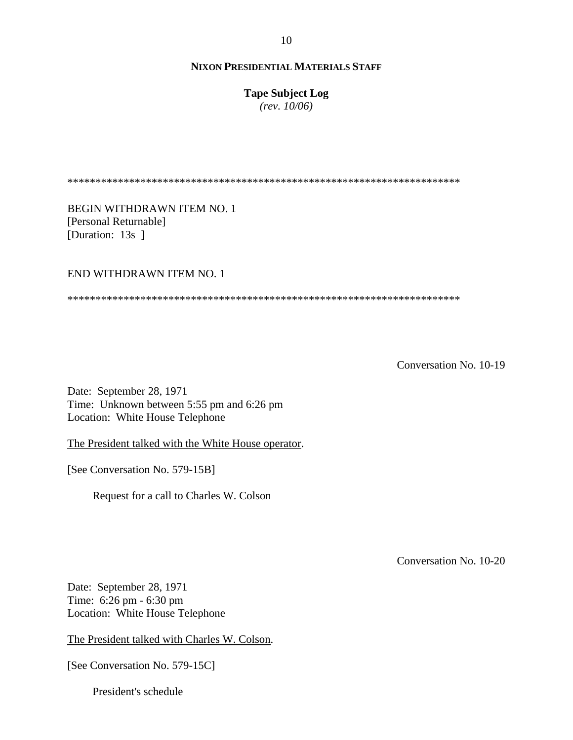**Tape Subject Log**

*(rev. 10/06)*

\*\*\*\*\*\*\*\*\*\*\*\*\*\*\*\*\*\*\*\*\*\*\*\*\*\*\*\*\*\*\*\*\*\*\*\*\*\*\*\*\*\*\*\*\*\*\*\*\*\*\*\*\*\*\*\*\*\*\*\*\*\*\*\*\*\*\*\*\*\*

BEGIN WITHDRAWN ITEM NO. 1 [Personal Returnable] [Duration: 13s]

END WITHDRAWN ITEM NO. 1

\*\*\*\*\*\*\*\*\*\*\*\*\*\*\*\*\*\*\*\*\*\*\*\*\*\*\*\*\*\*\*\*\*\*\*\*\*\*\*\*\*\*\*\*\*\*\*\*\*\*\*\*\*\*\*\*\*\*\*\*\*\*\*\*\*\*\*\*\*\*

Conversation No. 10-19

Date: September 28, 1971 Time: Unknown between 5:55 pm and 6:26 pm Location: White House Telephone

The President talked with the White House operator.

[See Conversation No. 579-15B]

Request for a call to Charles W. Colson

Conversation No. 10-20

Date: September 28, 1971 Time: 6:26 pm - 6:30 pm Location: White House Telephone

The President talked with Charles W. Colson.

[See Conversation No. 579-15C]

President's schedule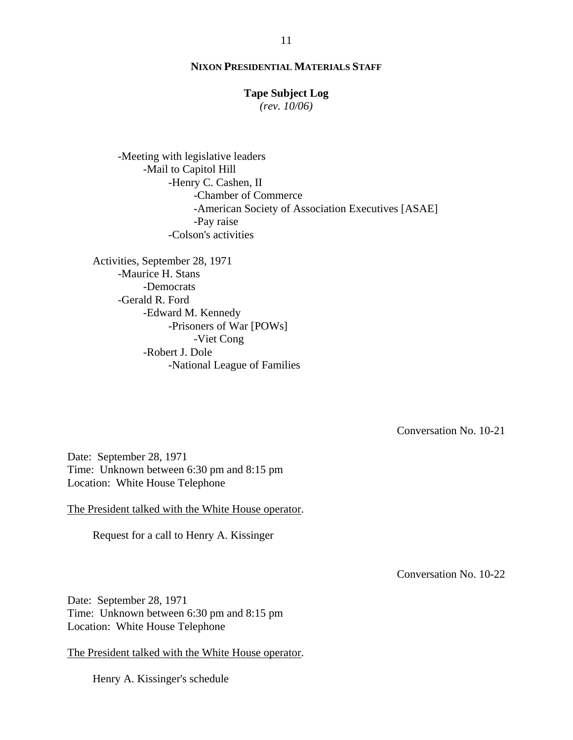### **Tape Subject Log**

*(rev. 10/06)*

-Meeting with legislative leaders -Mail to Capitol Hill -Henry C. Cashen, II -Chamber of Commerce -American Society of Association Executives [ASAE] -Pay raise -Colson's activities

Activities, September 28, 1971 -Maurice H. Stans -Democrats -Gerald R. Ford -Edward M. Kennedy -Prisoners of War [POWs] -Viet Cong -Robert J. Dole -National League of Families

Conversation No. 10-21

Date: September 28, 1971 Time: Unknown between 6:30 pm and 8:15 pm Location: White House Telephone

The President talked with the White House operator.

Request for a call to Henry A. Kissinger

Conversation No. 10-22

Date: September 28, 1971 Time: Unknown between 6:30 pm and 8:15 pm Location: White House Telephone

The President talked with the White House operator.

Henry A. Kissinger's schedule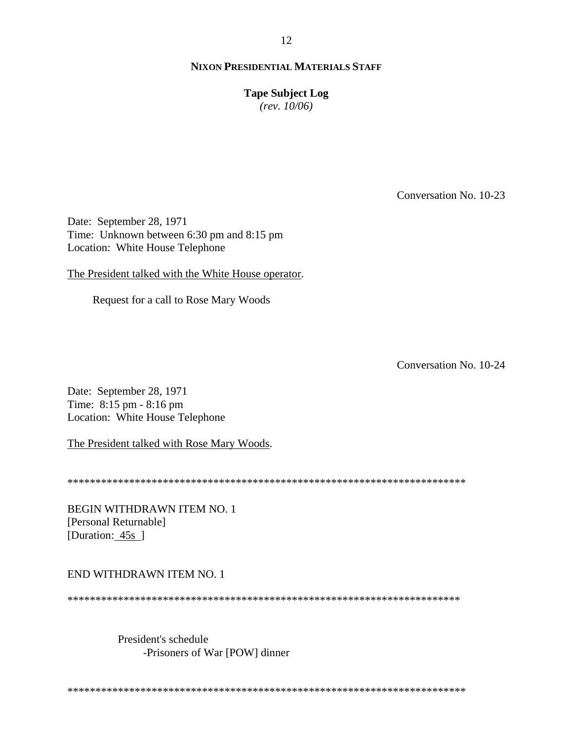**Tape Subject Log**

*(rev. 10/06)*

Conversation No. 10-23

Date: September 28, 1971 Time: Unknown between 6:30 pm and 8:15 pm Location: White House Telephone

The President talked with the White House operator.

Request for a call to Rose Mary Woods

Conversation No. 10-24

Date: September 28, 1971 Time: 8:15 pm - 8:16 pm Location: White House Telephone

The President talked with Rose Mary Woods.

\*\*\*\*\*\*\*\*\*\*\*\*\*\*\*\*\*\*\*\*\*\*\*\*\*\*\*\*\*\*\*\*\*\*\*\*\*\*\*\*\*\*\*\*\*\*\*\*\*\*\*\*\*\*\*\*\*\*\*\*\*\*\*\*\*\*\*\*\*\*\*

BEGIN WITHDRAWN ITEM NO. 1 [Personal Returnable] [Duration: 45s ]

END WITHDRAWN ITEM NO. 1

\*\*\*\*\*\*\*\*\*\*\*\*\*\*\*\*\*\*\*\*\*\*\*\*\*\*\*\*\*\*\*\*\*\*\*\*\*\*\*\*\*\*\*\*\*\*\*\*\*\*\*\*\*\*\*\*\*\*\*\*\*\*\*\*\*\*\*\*\*\*

President's schedule -Prisoners of War [POW] dinner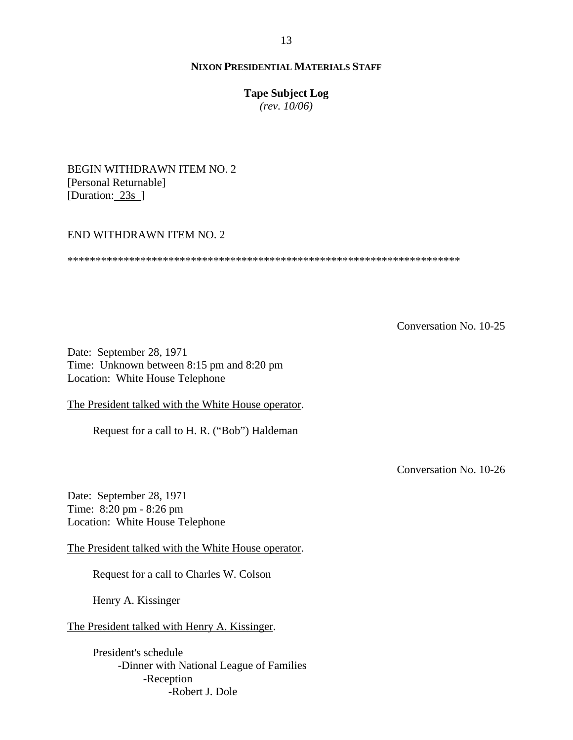### **Tape Subject Log**

*(rev. 10/06)*

BEGIN WITHDRAWN ITEM NO. 2 [Personal Returnable] [Duration: 23s ]

### END WITHDRAWN ITEM NO. 2

\*\*\*\*\*\*\*\*\*\*\*\*\*\*\*\*\*\*\*\*\*\*\*\*\*\*\*\*\*\*\*\*\*\*\*\*\*\*\*\*\*\*\*\*\*\*\*\*\*\*\*\*\*\*\*\*\*\*\*\*\*\*\*\*\*\*\*\*\*\*

Conversation No. 10-25

Date: September 28, 1971 Time: Unknown between 8:15 pm and 8:20 pm Location: White House Telephone

The President talked with the White House operator.

Request for a call to H. R. ("Bob") Haldeman

Conversation No. 10-26

Date: September 28, 1971 Time: 8:20 pm - 8:26 pm Location: White House Telephone

The President talked with the White House operator.

Request for a call to Charles W. Colson

Henry A. Kissinger

The President talked with Henry A. Kissinger.

President's schedule -Dinner with National League of Families -Reception -Robert J. Dole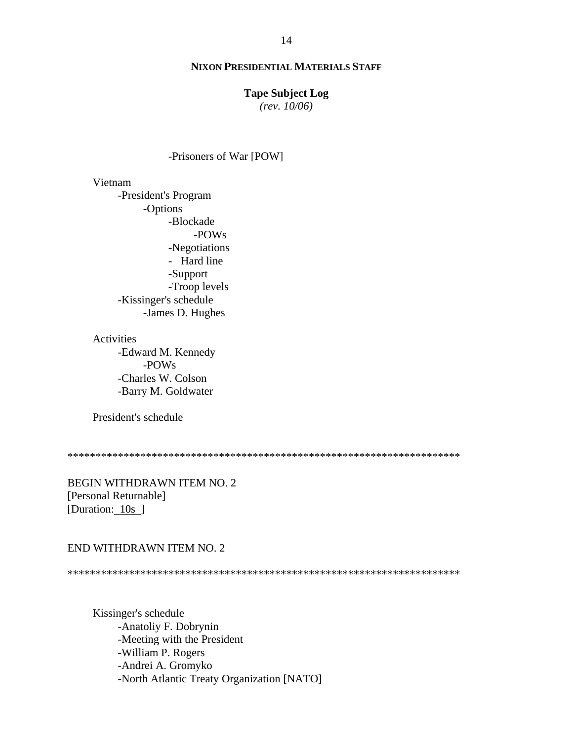### **Tape Subject Log**

*(rev. 10/06)*

### -Prisoners of War [POW]

Vietnam

-President's Program -Options -Blockade -POWs -Negotiations - Hard line -Support -Troop levels -Kissinger's schedule -James D. Hughes

Activities

-Edward M. Kennedy -POWs -Charles W. Colson -Barry M. Goldwater

President's schedule

\*\*\*\*\*\*\*\*\*\*\*\*\*\*\*\*\*\*\*\*\*\*\*\*\*\*\*\*\*\*\*\*\*\*\*\*\*\*\*\*\*\*\*\*\*\*\*\*\*\*\*\*\*\*\*\*\*\*\*\*\*\*\*\*\*\*\*\*\*\*

BEGIN WITHDRAWN ITEM NO. 2 [Personal Returnable] [Duration: 10s ]

#### END WITHDRAWN ITEM NO. 2

\*\*\*\*\*\*\*\*\*\*\*\*\*\*\*\*\*\*\*\*\*\*\*\*\*\*\*\*\*\*\*\*\*\*\*\*\*\*\*\*\*\*\*\*\*\*\*\*\*\*\*\*\*\*\*\*\*\*\*\*\*\*\*\*\*\*\*\*\*\*

Kissinger's schedule -Anatoliy F. Dobrynin -Meeting with the President -William P. Rogers -Andrei A. Gromyko -North Atlantic Treaty Organization [NATO]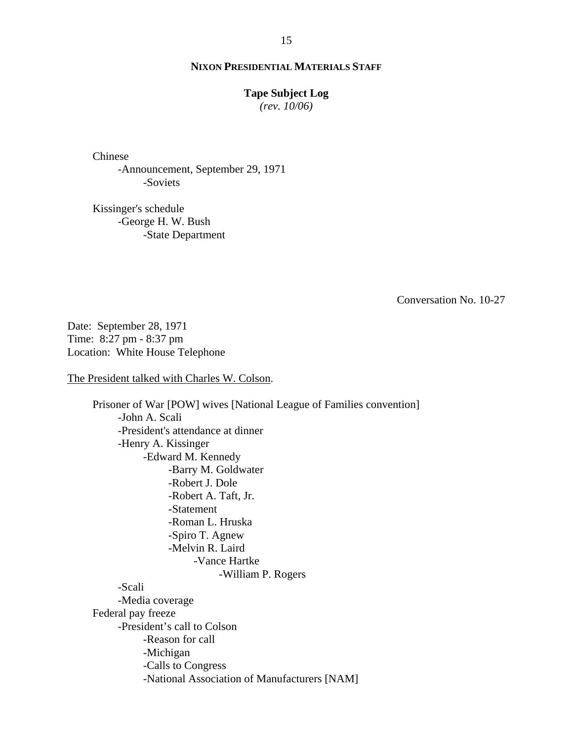#### **Tape Subject Log**

*(rev. 10/06)*

Chinese -Announcement, September 29, 1971 -Soviets

Kissinger's schedule -George H. W. Bush -State Department

Conversation No. 10-27

Date: September 28, 1971 Time: 8:27 pm - 8:37 pm Location: White House Telephone

The President talked with Charles W. Colson.

Prisoner of War [POW] wives [National League of Families convention] -John A. Scali -President's attendance at dinner -Henry A. Kissinger -Edward M. Kennedy -Barry M. Goldwater -Robert J. Dole -Robert A. Taft, Jr. -Statement -Roman L. Hruska -Spiro T. Agnew -Melvin R. Laird -Vance Hartke -William P. Rogers -Scali -Media coverage Federal pay freeze -President's call to Colson -Reason for call -Michigan -Calls to Congress -National Association of Manufacturers [NAM]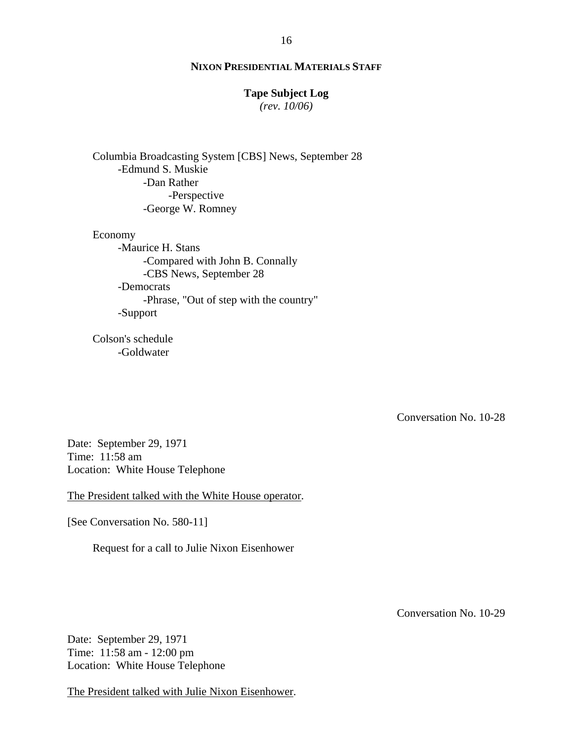# **Tape Subject Log**

*(rev. 10/06)*

Columbia Broadcasting System [CBS] News, September 28 -Edmund S. Muskie -Dan Rather -Perspective -George W. Romney

Economy -Maurice H. Stans -Compared with John B. Connally -CBS News, September 28 -Democrats -Phrase, "Out of step with the country" -Support

Colson's schedule -Goldwater

Conversation No. 10-28

Date: September 29, 1971 Time: 11:58 am Location: White House Telephone

The President talked with the White House operator.

[See Conversation No. 580-11]

Request for a call to Julie Nixon Eisenhower

Conversation No. 10-29

Date: September 29, 1971 Time: 11:58 am - 12:00 pm Location: White House Telephone

The President talked with Julie Nixon Eisenhower.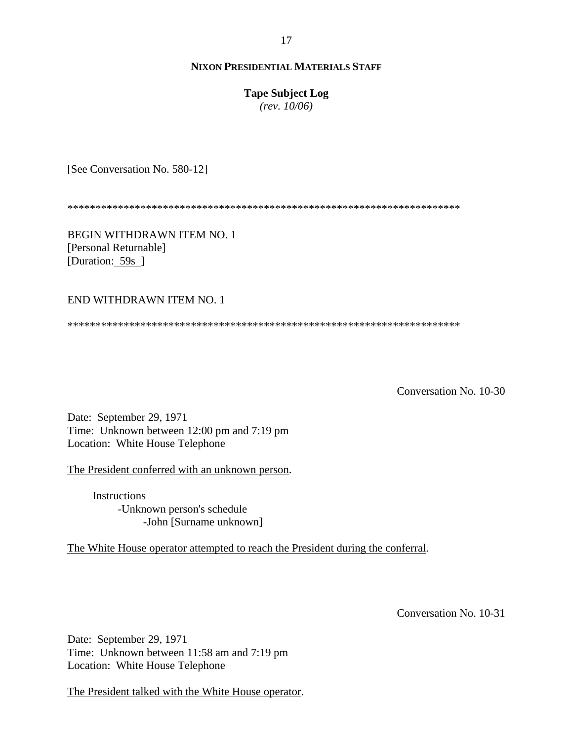# **Tape Subject Log**

*(rev. 10/06)*

[See Conversation No. 580-12]

\*\*\*\*\*\*\*\*\*\*\*\*\*\*\*\*\*\*\*\*\*\*\*\*\*\*\*\*\*\*\*\*\*\*\*\*\*\*\*\*\*\*\*\*\*\*\*\*\*\*\*\*\*\*\*\*\*\*\*\*\*\*\*\*\*\*\*\*\*\*

BEGIN WITHDRAWN ITEM NO. 1 [Personal Returnable] [Duration: 59s ]

END WITHDRAWN ITEM NO. 1

\*\*\*\*\*\*\*\*\*\*\*\*\*\*\*\*\*\*\*\*\*\*\*\*\*\*\*\*\*\*\*\*\*\*\*\*\*\*\*\*\*\*\*\*\*\*\*\*\*\*\*\*\*\*\*\*\*\*\*\*\*\*\*\*\*\*\*\*\*\*

Conversation No. 10-30

Date: September 29, 1971 Time: Unknown between 12:00 pm and 7:19 pm Location: White House Telephone

The President conferred with an unknown person.

**Instructions** -Unknown person's schedule -John [Surname unknown]

The White House operator attempted to reach the President during the conferral.

Conversation No. 10-31

Date: September 29, 1971 Time: Unknown between 11:58 am and 7:19 pm Location: White House Telephone

The President talked with the White House operator.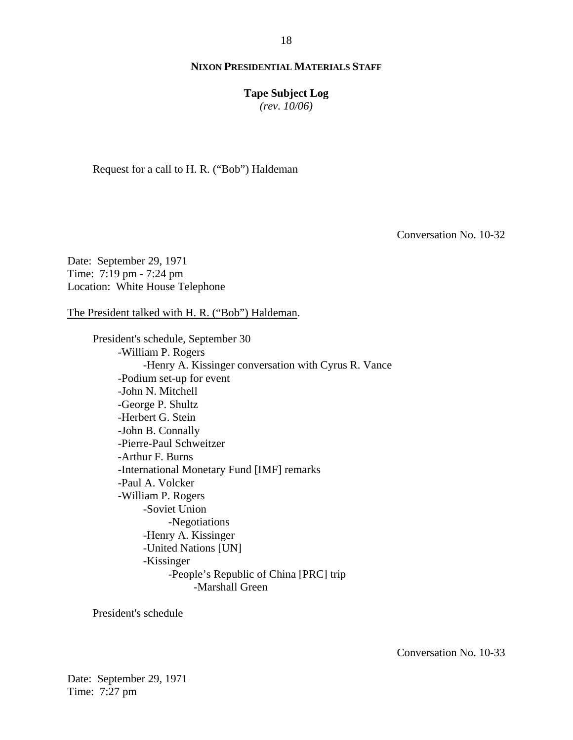**Tape Subject Log**

*(rev. 10/06)*

Request for a call to H. R. ("Bob") Haldeman

Conversation No. 10-32

Date: September 29, 1971 Time: 7:19 pm - 7:24 pm Location: White House Telephone

The President talked with H. R. ("Bob") Haldeman.

President's schedule, September 30 -William P. Rogers -Henry A. Kissinger conversation with Cyrus R. Vance -Podium set-up for event -John N. Mitchell -George P. Shultz -Herbert G. Stein -John B. Connally -Pierre-Paul Schweitzer -Arthur F. Burns -International Monetary Fund [IMF] remarks -Paul A. Volcker -William P. Rogers -Soviet Union -Negotiations -Henry A. Kissinger -United Nations [UN] -Kissinger -People's Republic of China [PRC] trip -Marshall Green

President's schedule

Conversation No. 10-33

Date: September 29, 1971 Time: 7:27 pm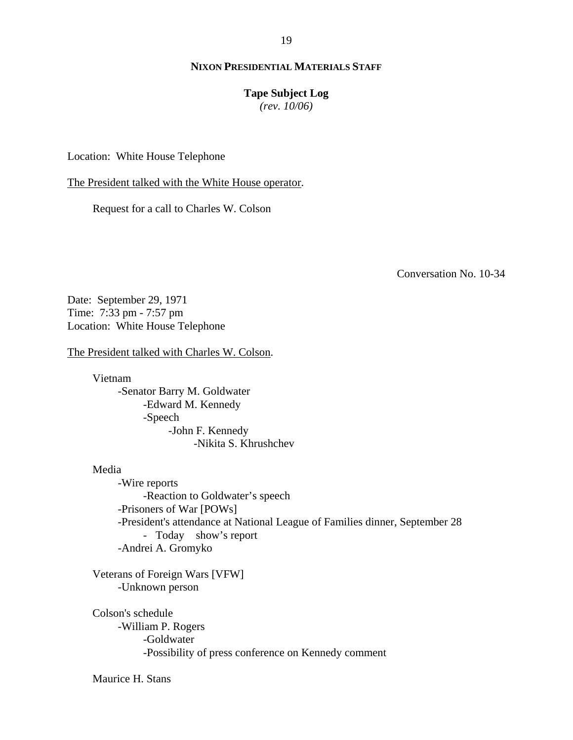#### **Tape Subject Log**

*(rev. 10/06)*

Location: White House Telephone

The President talked with the White House operator.

Request for a call to Charles W. Colson

Conversation No. 10-34

Date: September 29, 1971 Time: 7:33 pm - 7:57 pm Location: White House Telephone

The President talked with Charles W. Colson.

Vietnam -Senator Barry M. Goldwater -Edward M. Kennedy -Speech -John F. Kennedy -Nikita S. Khrushchev

# Media

-Wire reports -Reaction to Goldwater's speech -Prisoners of War [POWs] -President's attendance at National League of Families dinner, September 28 -Today show's report -Andrei A. Gromyko

Veterans of Foreign Wars [VFW] -Unknown person

Colson's schedule -William P. Rogers -Goldwater -Possibility of press conference on Kennedy comment

Maurice H. Stans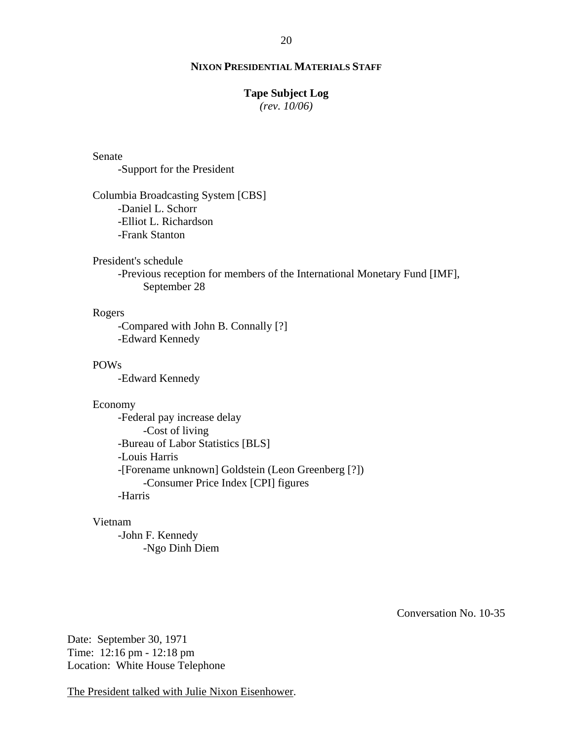# **Tape Subject Log**

*(rev. 10/06)*

### Senate

-Support for the President

Columbia Broadcasting System [CBS] -Daniel L. Schorr -Elliot L. Richardson -Frank Stanton

### President's schedule

-Previous reception for members of the International Monetary Fund [IMF], September 28

# Rogers

-Compared with John B. Connally [?] -Edward Kennedy

### POWs

-Edward Kennedy

### Economy

-Federal pay increase delay -Cost of living -Bureau of Labor Statistics [BLS] -Louis Harris -[Forename unknown] Goldstein (Leon Greenberg [?]) -Consumer Price Index [CPI] figures -Harris

#### Vietnam

-John F. Kennedy -Ngo Dinh Diem

Conversation No. 10-35

Date: September 30, 1971 Time: 12:16 pm - 12:18 pm Location: White House Telephone

The President talked with Julie Nixon Eisenhower.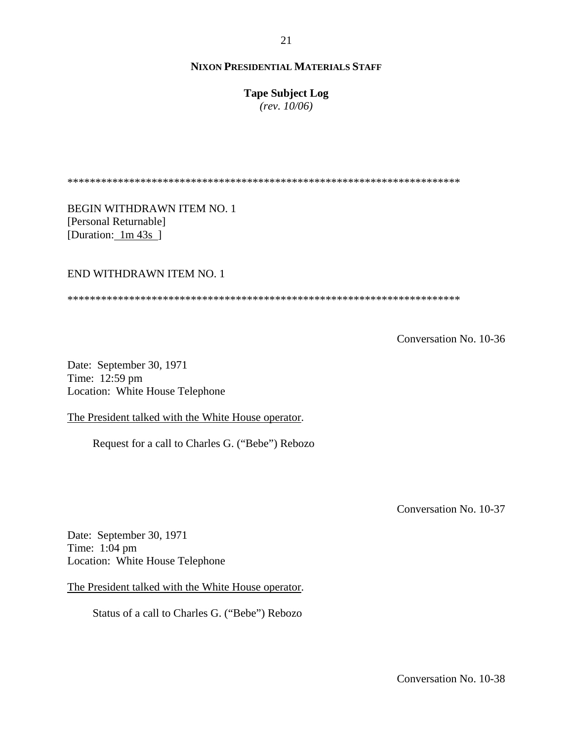**Tape Subject Log**

*(rev. 10/06)*

\*\*\*\*\*\*\*\*\*\*\*\*\*\*\*\*\*\*\*\*\*\*\*\*\*\*\*\*\*\*\*\*\*\*\*\*\*\*\*\*\*\*\*\*\*\*\*\*\*\*\*\*\*\*\*\*\*\*\*\*\*\*\*\*\*\*\*\*\*\*

BEGIN WITHDRAWN ITEM NO. 1 [Personal Returnable] [Duration: 1m 43s]

### END WITHDRAWN ITEM NO. 1

\*\*\*\*\*\*\*\*\*\*\*\*\*\*\*\*\*\*\*\*\*\*\*\*\*\*\*\*\*\*\*\*\*\*\*\*\*\*\*\*\*\*\*\*\*\*\*\*\*\*\*\*\*\*\*\*\*\*\*\*\*\*\*\*\*\*\*\*\*\*

Conversation No. 10-36

Date: September 30, 1971 Time: 12:59 pm Location: White House Telephone

The President talked with the White House operator.

Request for a call to Charles G. ("Bebe") Rebozo

Conversation No. 10-37

Date: September 30, 1971 Time: 1:04 pm Location: White House Telephone

The President talked with the White House operator.

Status of a call to Charles G. ("Bebe") Rebozo

Conversation No. 10-38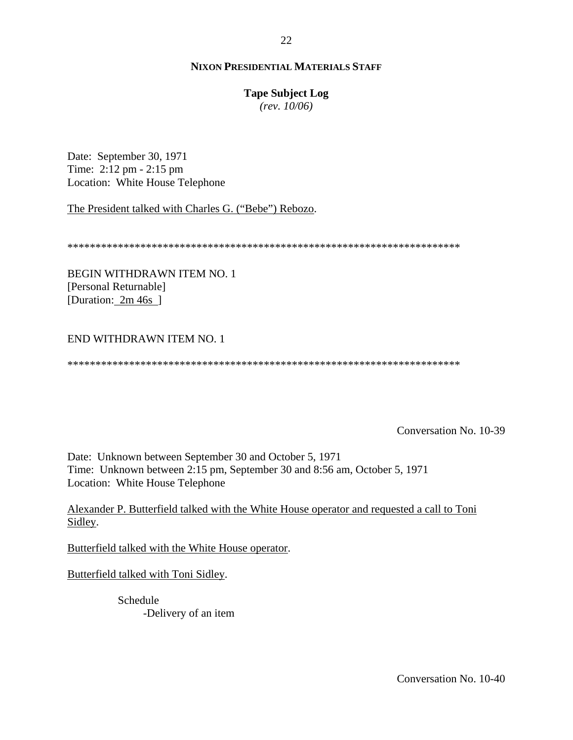### **Tape Subject Log**

*(rev. 10/06)*

Date: September 30, 1971 Time: 2:12 pm - 2:15 pm Location: White House Telephone

The President talked with Charles G. ("Bebe") Rebozo.

\*\*\*\*\*\*\*\*\*\*\*\*\*\*\*\*\*\*\*\*\*\*\*\*\*\*\*\*\*\*\*\*\*\*\*\*\*\*\*\*\*\*\*\*\*\*\*\*\*\*\*\*\*\*\*\*\*\*\*\*\*\*\*\*\*\*\*\*\*\*

BEGIN WITHDRAWN ITEM NO. 1 [Personal Returnable] [Duration: 2m 46s]

# END WITHDRAWN ITEM NO. 1

\*\*\*\*\*\*\*\*\*\*\*\*\*\*\*\*\*\*\*\*\*\*\*\*\*\*\*\*\*\*\*\*\*\*\*\*\*\*\*\*\*\*\*\*\*\*\*\*\*\*\*\*\*\*\*\*\*\*\*\*\*\*\*\*\*\*\*\*\*\*

Conversation No. 10-39

Date: Unknown between September 30 and October 5, 1971 Time: Unknown between 2:15 pm, September 30 and 8:56 am, October 5, 1971 Location: White House Telephone

Alexander P. Butterfield talked with the White House operator and requested a call to Toni Sidley.

Butterfield talked with the White House operator.

Butterfield talked with Toni Sidley.

Schedule -Delivery of an item 22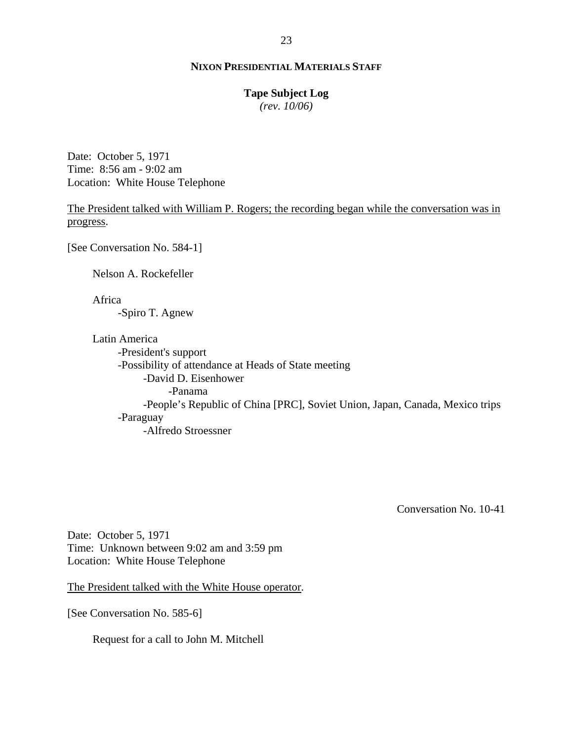# **Tape Subject Log**

*(rev. 10/06)*

Date: October 5, 1971 Time: 8:56 am - 9:02 am Location: White House Telephone

The President talked with William P. Rogers; the recording began while the conversation was in progress.

[See Conversation No. 584-1]

Nelson A. Rockefeller

Africa

-Spiro T. Agnew

Latin America

-President's support -Possibility of attendance at Heads of State meeting -David D. Eisenhower -Panama -People's Republic of China [PRC], Soviet Union, Japan, Canada, Mexico trips -Paraguay -Alfredo Stroessner

Conversation No. 10-41

Date: October 5, 1971 Time: Unknown between 9:02 am and 3:59 pm Location: White House Telephone

The President talked with the White House operator.

[See Conversation No. 585-6]

Request for a call to John M. Mitchell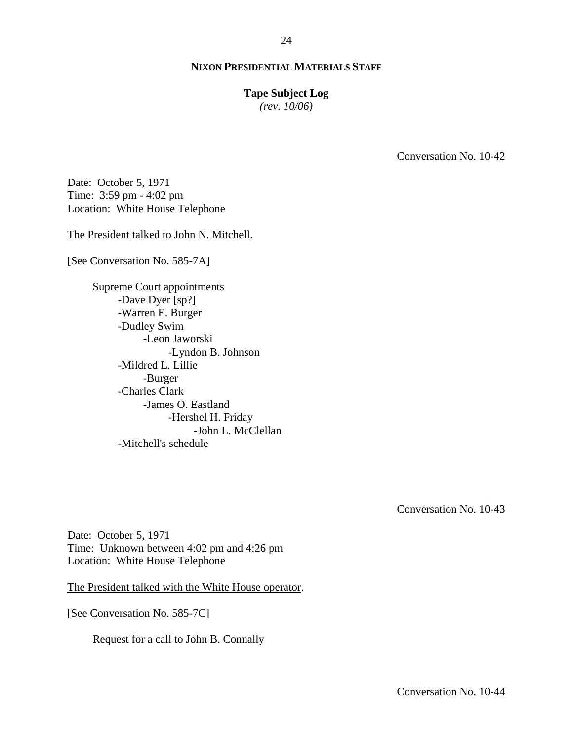### **Tape Subject Log**

*(rev. 10/06)*

Conversation No. 10-42

Date: October 5, 1971 Time: 3:59 pm - 4:02 pm Location: White House Telephone

The President talked to John N. Mitchell.

[See Conversation No. 585-7A]

Supreme Court appointments -Dave Dyer [sp?] -Warren E. Burger -Dudley Swim -Leon Jaworski -Lyndon B. Johnson -Mildred L. Lillie -Burger -Charles Clark -James O. Eastland -Hershel H. Friday -John L. McClellan -Mitchell's schedule

Conversation No. 10-43

Date: October 5, 1971 Time: Unknown between 4:02 pm and 4:26 pm Location: White House Telephone

The President talked with the White House operator.

[See Conversation No. 585-7C]

Request for a call to John B. Connally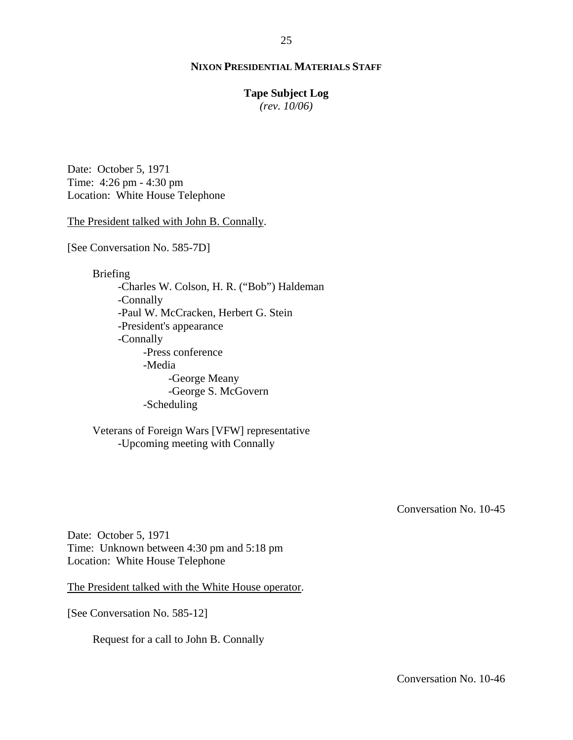# **Tape Subject Log**

*(rev. 10/06)*

Date: October 5, 1971 Time: 4:26 pm - 4:30 pm Location: White House Telephone

The President talked with John B. Connally.

[See Conversation No. 585-7D]

Briefing

-Charles W. Colson, H. R. ("Bob") Haldeman -Connally -Paul W. McCracken, Herbert G. Stein -President's appearance -Connally -Press conference -Media -George Meany -George S. McGovern -Scheduling

Veterans of Foreign Wars [VFW] representative -Upcoming meeting with Connally

Conversation No. 10-45

Date: October 5, 1971 Time: Unknown between 4:30 pm and 5:18 pm Location: White House Telephone

The President talked with the White House operator.

[See Conversation No. 585-12]

Request for a call to John B. Connally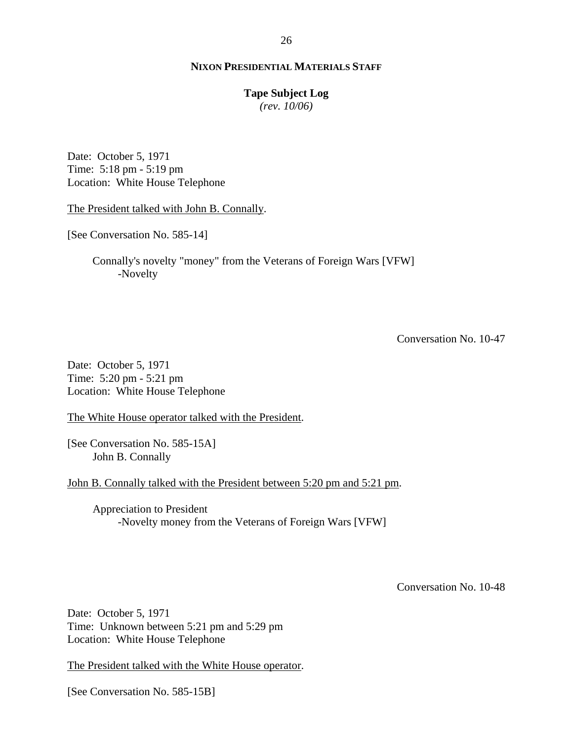#### **Tape Subject Log**

*(rev. 10/06)*

Date: October 5, 1971 Time: 5:18 pm - 5:19 pm Location: White House Telephone

The President talked with John B. Connally.

[See Conversation No. 585-14]

Connally's novelty "money" from the Veterans of Foreign Wars [VFW] -Novelty

Conversation No. 10-47

Date: October 5, 1971 Time: 5:20 pm - 5:21 pm Location: White House Telephone

The White House operator talked with the President.

[See Conversation No. 585-15A] John B. Connally

John B. Connally talked with the President between 5:20 pm and 5:21 pm.

Appreciation to President -Novelty money from the Veterans of Foreign Wars [VFW]

Conversation No. 10-48

Date: October 5, 1971 Time: Unknown between 5:21 pm and 5:29 pm Location: White House Telephone

The President talked with the White House operator.

[See Conversation No. 585-15B]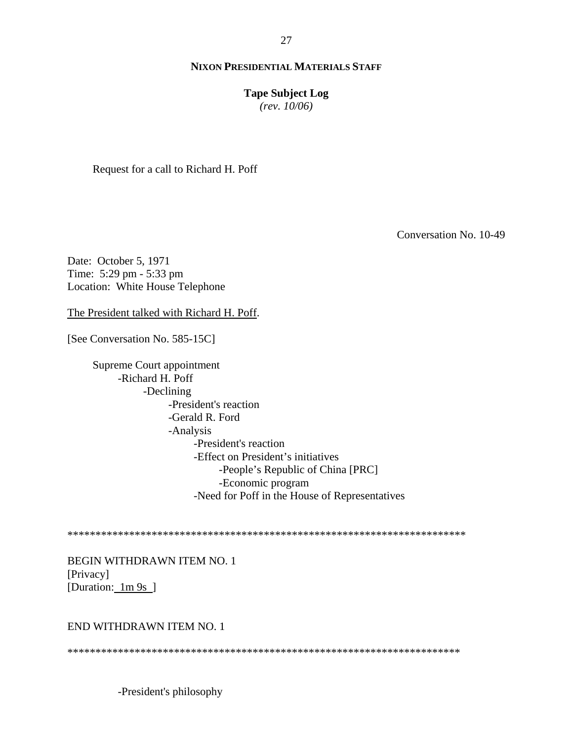**Tape Subject Log**

*(rev. 10/06)*

Request for a call to Richard H. Poff

Conversation No. 10-49

Date: October 5, 1971 Time: 5:29 pm - 5:33 pm Location: White House Telephone

The President talked with Richard H. Poff.

[See Conversation No. 585-15C]

Supreme Court appointment -Richard H. Poff -Declining -President's reaction -Gerald R. Ford -Analysis -President's reaction -Effect on President's initiatives -People's Republic of China [PRC] -Economic program -Need for Poff in the House of Representatives

\*\*\*\*\*\*\*\*\*\*\*\*\*\*\*\*\*\*\*\*\*\*\*\*\*\*\*\*\*\*\*\*\*\*\*\*\*\*\*\*\*\*\*\*\*\*\*\*\*\*\*\*\*\*\*\*\*\*\*\*\*\*\*\*\*\*\*\*\*\*\*

BEGIN WITHDRAWN ITEM NO. 1 [Privacy] [Duration: 1m 9s ]

### END WITHDRAWN ITEM NO. 1

\*\*\*\*\*\*\*\*\*\*\*\*\*\*\*\*\*\*\*\*\*\*\*\*\*\*\*\*\*\*\*\*\*\*\*\*\*\*\*\*\*\*\*\*\*\*\*\*\*\*\*\*\*\*\*\*\*\*\*\*\*\*\*\*\*\*\*\*\*\*

-President's philosophy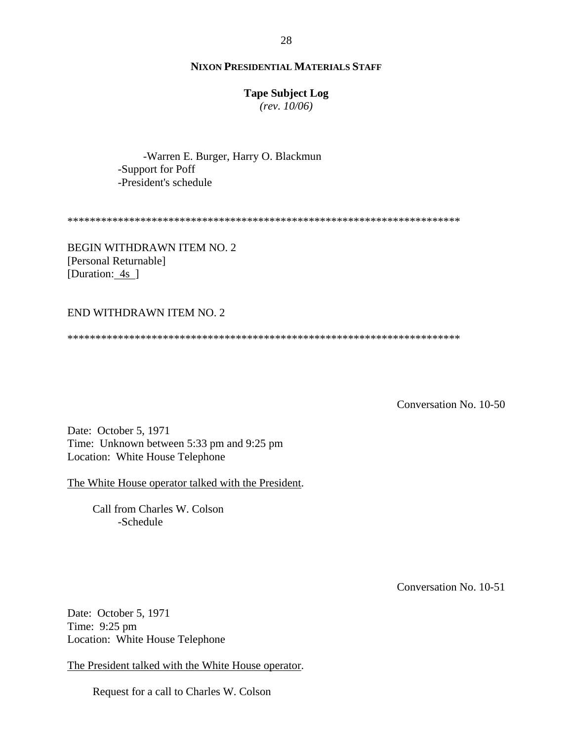# **Tape Subject Log**

*(rev. 10/06)*

-Warren E. Burger, Harry O. Blackmun -Support for Poff -President's schedule

\*\*\*\*\*\*\*\*\*\*\*\*\*\*\*\*\*\*\*\*\*\*\*\*\*\*\*\*\*\*\*\*\*\*\*\*\*\*\*\*\*\*\*\*\*\*\*\*\*\*\*\*\*\*\*\*\*\*\*\*\*\*\*\*\*\*\*\*\*\*

BEGIN WITHDRAWN ITEM NO. 2 [Personal Returnable] [Duration: 4s]

#### END WITHDRAWN ITEM NO. 2

\*\*\*\*\*\*\*\*\*\*\*\*\*\*\*\*\*\*\*\*\*\*\*\*\*\*\*\*\*\*\*\*\*\*\*\*\*\*\*\*\*\*\*\*\*\*\*\*\*\*\*\*\*\*\*\*\*\*\*\*\*\*\*\*\*\*\*\*\*\*

Conversation No. 10-50

Date: October 5, 1971 Time: Unknown between 5:33 pm and 9:25 pm Location: White House Telephone

The White House operator talked with the President.

Call from Charles W. Colson -Schedule

Conversation No. 10-51

Date: October 5, 1971 Time: 9:25 pm Location: White House Telephone

The President talked with the White House operator.

Request for a call to Charles W. Colson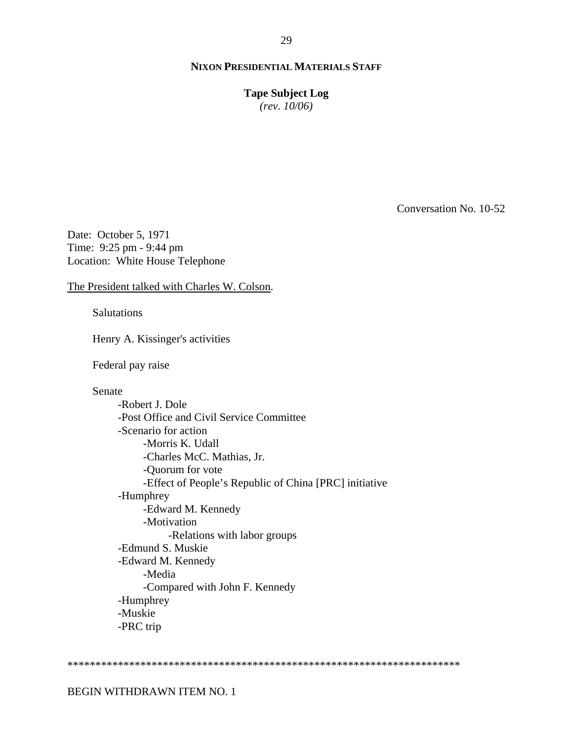**Tape Subject Log**

*(rev. 10/06)*

Conversation No. 10-52

Date: October 5, 1971 Time: 9:25 pm - 9:44 pm Location: White House Telephone

The President talked with Charles W. Colson.

Salutations

Henry A. Kissinger's activities

Federal pay raise

Senate

-Robert J. Dole -Post Office and Civil Service Committee -Scenario for action -Morris K. Udall -Charles McC. Mathias, Jr. -Quorum for vote -Effect of People's Republic of China [PRC] initiative -Humphrey -Edward M. Kennedy -Motivation -Relations with labor groups -Edmund S. Muskie -Edward M. Kennedy -Media -Compared with John F. Kennedy -Humphrey -Muskie -PRC trip

\*\*\*\*\*\*\*\*\*\*\*\*\*\*\*\*\*\*\*\*\*\*\*\*\*\*\*\*\*\*\*\*\*\*\*\*\*\*\*\*\*\*\*\*\*\*\*\*\*\*\*\*\*\*\*\*\*\*\*\*\*\*\*\*\*\*\*\*\*\*

BEGIN WITHDRAWN ITEM NO. 1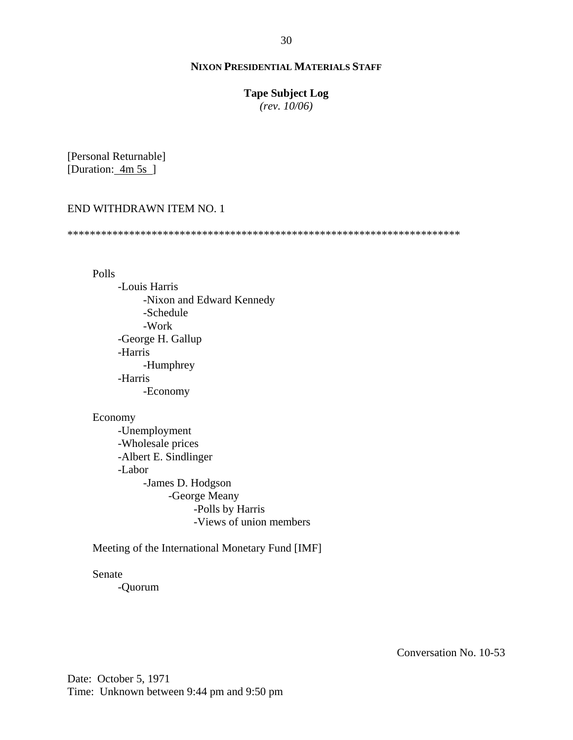# **Tape Subject Log**

*(rev. 10/06)*

[Personal Returnable] [Duration: 4m 5s]

# END WITHDRAWN ITEM NO. 1

\*\*\*\*\*\*\*\*\*\*\*\*\*\*\*\*\*\*\*\*\*\*\*\*\*\*\*\*\*\*\*\*\*\*\*\*\*\*\*\*\*\*\*\*\*\*\*\*\*\*\*\*\*\*\*\*\*\*\*\*\*\*\*\*\*\*\*\*\*\*

Polls

-Louis Harris -Nixon and Edward Kennedy -Schedule -Work -George H. Gallup -Harris -Humphrey -Harris -Economy

### Economy

-Unemployment -Wholesale prices -Albert E. Sindlinger -Labor -James D. Hodgson -George Meany -Polls by Harris -Views of union members

Meeting of the International Monetary Fund [IMF]

Senate

-Quorum

Conversation No. 10-53

Date: October 5, 1971 Time: Unknown between 9:44 pm and 9:50 pm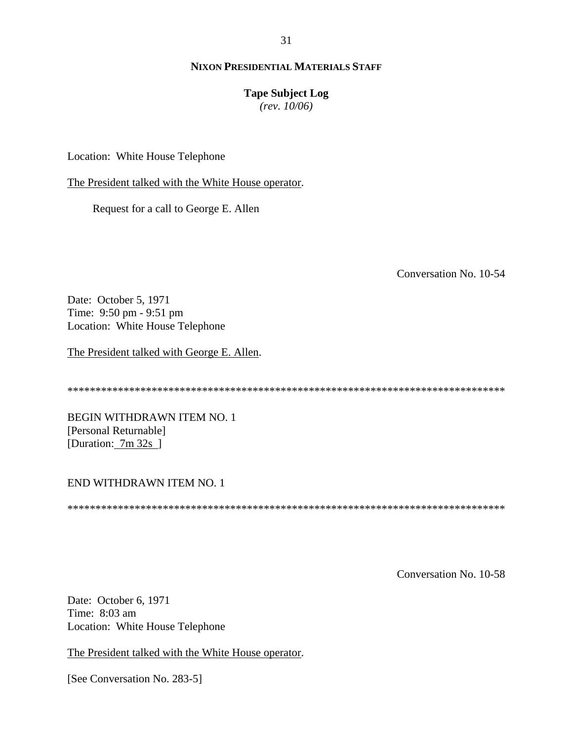31

# **NIXON PRESIDENTIAL MATERIALS STAFF**

# **Tape Subject Log**

*(rev. 10/06)*

Location: White House Telephone

The President talked with the White House operator.

Request for a call to George E. Allen

Conversation No. 10-54

Date: October 5, 1971 Time: 9:50 pm - 9:51 pm Location: White House Telephone

The President talked with George E. Allen.

\*\*\*\*\*\*\*\*\*\*\*\*\*\*\*\*\*\*\*\*\*\*\*\*\*\*\*\*\*\*\*\*\*\*\*\*\*\*\*\*\*\*\*\*\*\*\*\*\*\*\*\*\*\*\*\*\*\*\*\*\*\*\*\*\*\*\*\*\*\*\*\*\*\*\*\*\*\*

BEGIN WITHDRAWN ITEM NO. 1 [Personal Returnable] [Duration: 7m 32s ]

### END WITHDRAWN ITEM NO. 1

\*\*\*\*\*\*\*\*\*\*\*\*\*\*\*\*\*\*\*\*\*\*\*\*\*\*\*\*\*\*\*\*\*\*\*\*\*\*\*\*\*\*\*\*\*\*\*\*\*\*\*\*\*\*\*\*\*\*\*\*\*\*\*\*\*\*\*\*\*\*\*\*\*\*\*\*\*\*

Conversation No. 10-58

Date: October 6, 1971 Time: 8:03 am Location: White House Telephone

The President talked with the White House operator.

[See Conversation No. 283-5]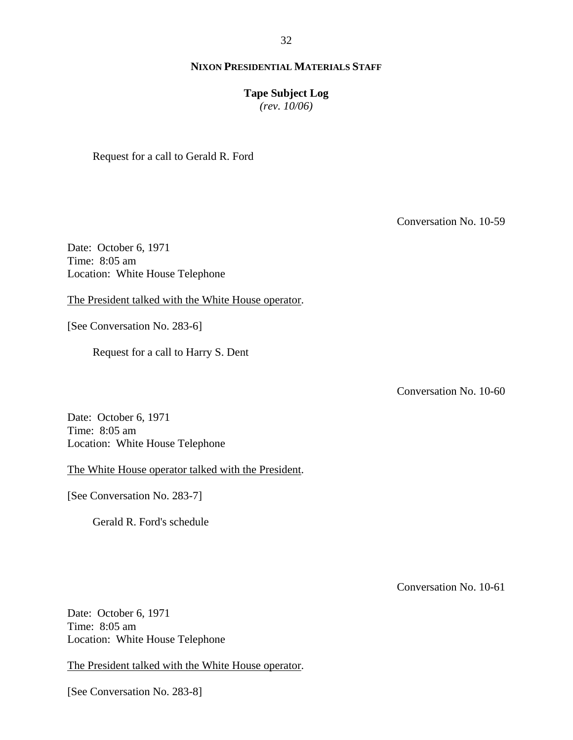### 32

# **NIXON PRESIDENTIAL MATERIALS STAFF**

# **Tape Subject Log**

*(rev. 10/06)*

Request for a call to Gerald R. Ford

Conversation No. 10-59

Date: October 6, 1971 Time: 8:05 am Location: White House Telephone

The President talked with the White House operator.

[See Conversation No. 283-6]

Request for a call to Harry S. Dent

Conversation No. 10-60

Date: October 6, 1971 Time: 8:05 am Location: White House Telephone

The White House operator talked with the President.

[See Conversation No. 283-7]

Gerald R. Ford's schedule

Conversation No. 10-61

Date: October 6, 1971 Time: 8:05 am Location: White House Telephone

The President talked with the White House operator.

[See Conversation No. 283-8]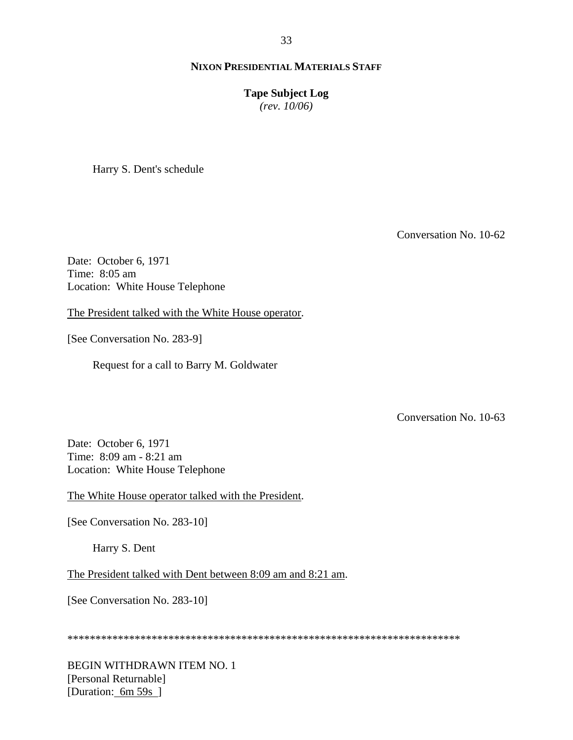### **Tape Subject Log**

*(rev. 10/06)*

Harry S. Dent's schedule

Conversation No. 10-62

Date: October 6, 1971 Time: 8:05 am Location: White House Telephone

The President talked with the White House operator.

[See Conversation No. 283-9]

Request for a call to Barry M. Goldwater

Conversation No. 10-63

Date: October 6, 1971 Time: 8:09 am - 8:21 am Location: White House Telephone

The White House operator talked with the President.

[See Conversation No. 283-10]

Harry S. Dent

The President talked with Dent between 8:09 am and 8:21 am.

[See Conversation No. 283-10]

\*\*\*\*\*\*\*\*\*\*\*\*\*\*\*\*\*\*\*\*\*\*\*\*\*\*\*\*\*\*\*\*\*\*\*\*\*\*\*\*\*\*\*\*\*\*\*\*\*\*\*\*\*\*\*\*\*\*\*\*\*\*\*\*\*\*\*\*\*\*

BEGIN WITHDRAWN ITEM NO. 1 [Personal Returnable] [Duration: 6m 59s ]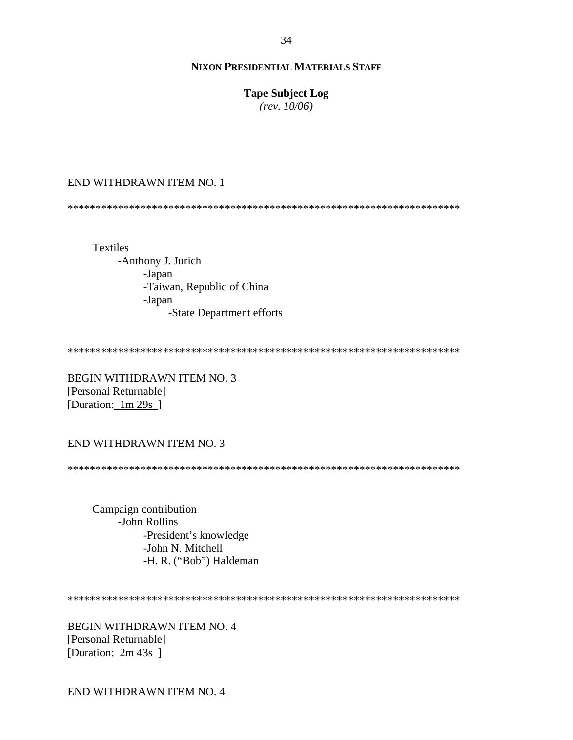# **Tape Subject Log**

*(rev. 10/06)*

# END WITHDRAWN ITEM NO. 1

\*\*\*\*\*\*\*\*\*\*\*\*\*\*\*\*\*\*\*\*\*\*\*\*\*\*\*\*\*\*\*\*\*\*\*\*\*\*\*\*\*\*\*\*\*\*\*\*\*\*\*\*\*\*\*\*\*\*\*\*\*\*\*\*\*\*\*\*\*\*

Textiles -Anthony J. Jurich -Japan -Taiwan, Republic of China -Japan -State Department efforts

\*\*\*\*\*\*\*\*\*\*\*\*\*\*\*\*\*\*\*\*\*\*\*\*\*\*\*\*\*\*\*\*\*\*\*\*\*\*\*\*\*\*\*\*\*\*\*\*\*\*\*\*\*\*\*\*\*\*\*\*\*\*\*\*\*\*\*\*\*\*

BEGIN WITHDRAWN ITEM NO. 3 [Personal Returnable] [Duration: 1m 29s]

# END WITHDRAWN ITEM NO. 3

\*\*\*\*\*\*\*\*\*\*\*\*\*\*\*\*\*\*\*\*\*\*\*\*\*\*\*\*\*\*\*\*\*\*\*\*\*\*\*\*\*\*\*\*\*\*\*\*\*\*\*\*\*\*\*\*\*\*\*\*\*\*\*\*\*\*\*\*\*\*

Campaign contribution -John Rollins -President's knowledge -John N. Mitchell -H. R. ("Bob") Haldeman

\*\*\*\*\*\*\*\*\*\*\*\*\*\*\*\*\*\*\*\*\*\*\*\*\*\*\*\*\*\*\*\*\*\*\*\*\*\*\*\*\*\*\*\*\*\*\*\*\*\*\*\*\*\*\*\*\*\*\*\*\*\*\*\*\*\*\*\*\*\*

BEGIN WITHDRAWN ITEM NO. 4 [Personal Returnable] [Duration: 2m 43s ]

END WITHDRAWN ITEM NO. 4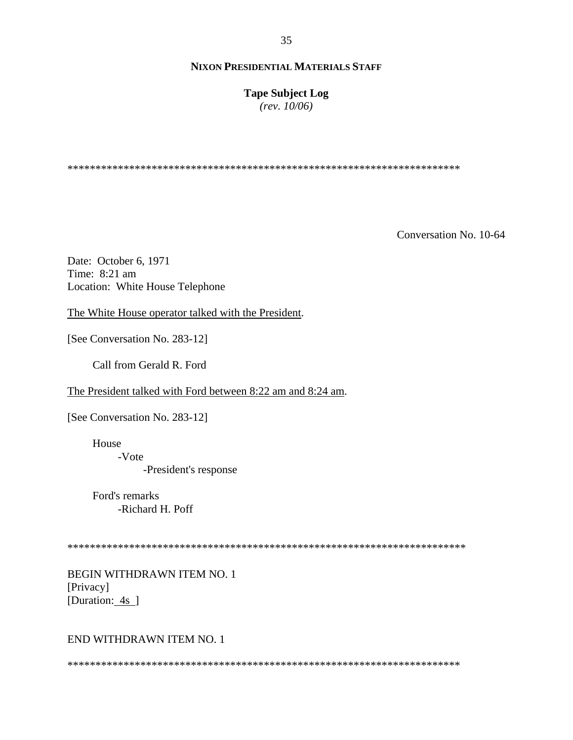**Tape Subject Log** *(rev. 10/06)*

\*\*\*\*\*\*\*\*\*\*\*\*\*\*\*\*\*\*\*\*\*\*\*\*\*\*\*\*\*\*\*\*\*\*\*\*\*\*\*\*\*\*\*\*\*\*\*\*\*\*\*\*\*\*\*\*\*\*\*\*\*\*\*\*\*\*\*\*\*\*

Conversation No. 10-64

Date: October 6, 1971 Time: 8:21 am Location: White House Telephone

The White House operator talked with the President.

[See Conversation No. 283-12]

Call from Gerald R. Ford

The President talked with Ford between 8:22 am and 8:24 am.

[See Conversation No. 283-12]

House

-Vote

-President's response

Ford's remarks -Richard H. Poff

\*\*\*\*\*\*\*\*\*\*\*\*\*\*\*\*\*\*\*\*\*\*\*\*\*\*\*\*\*\*\*\*\*\*\*\*\*\*\*\*\*\*\*\*\*\*\*\*\*\*\*\*\*\*\*\*\*\*\*\*\*\*\*\*\*\*\*\*\*\*\*

BEGIN WITHDRAWN ITEM NO. 1 [Privacy] [Duration: 4s ]

# END WITHDRAWN ITEM NO. 1

\*\*\*\*\*\*\*\*\*\*\*\*\*\*\*\*\*\*\*\*\*\*\*\*\*\*\*\*\*\*\*\*\*\*\*\*\*\*\*\*\*\*\*\*\*\*\*\*\*\*\*\*\*\*\*\*\*\*\*\*\*\*\*\*\*\*\*\*\*\*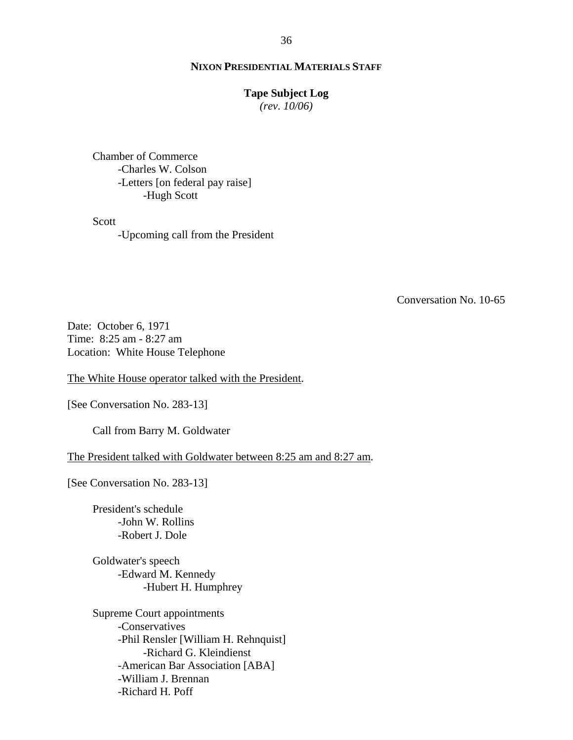#### **Tape Subject Log**

*(rev. 10/06)*

Chamber of Commerce -Charles W. Colson -Letters [on federal pay raise] -Hugh Scott

Scott

-Upcoming call from the President

Conversation No. 10-65

Date: October 6, 1971 Time: 8:25 am - 8:27 am Location: White House Telephone

The White House operator talked with the President.

[See Conversation No. 283-13]

Call from Barry M. Goldwater

The President talked with Goldwater between 8:25 am and 8:27 am.

[See Conversation No. 283-13]

President's schedule -John W. Rollins -Robert J. Dole

Goldwater's speech -Edward M. Kennedy -Hubert H. Humphrey

Supreme Court appointments -Conservatives -Phil Rensler [William H. Rehnquist] -Richard G. Kleindienst -American Bar Association [ABA] -William J. Brennan -Richard H. Poff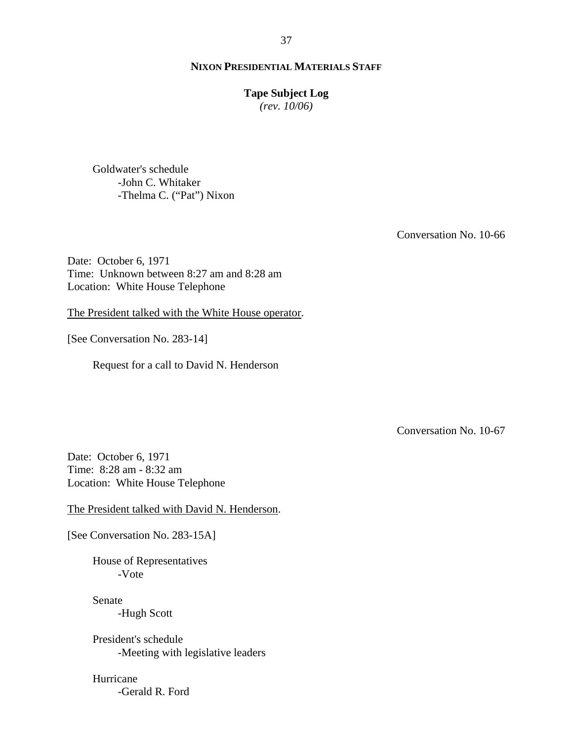## **Tape Subject Log**

*(rev. 10/06)*

Goldwater's schedule -John C. Whitaker -Thelma C. ("Pat") Nixon

Conversation No. 10-66

Date: October 6, 1971 Time: Unknown between 8:27 am and 8:28 am Location: White House Telephone

The President talked with the White House operator.

[See Conversation No. 283-14]

Request for a call to David N. Henderson

Conversation No. 10-67

Date: October 6, 1971 Time: 8:28 am - 8:32 am Location: White House Telephone

The President talked with David N. Henderson.

[See Conversation No. 283-15A]

House of Representatives -Vote

Senate -Hugh Scott

President's schedule -Meeting with legislative leaders

Hurricane -Gerald R. Ford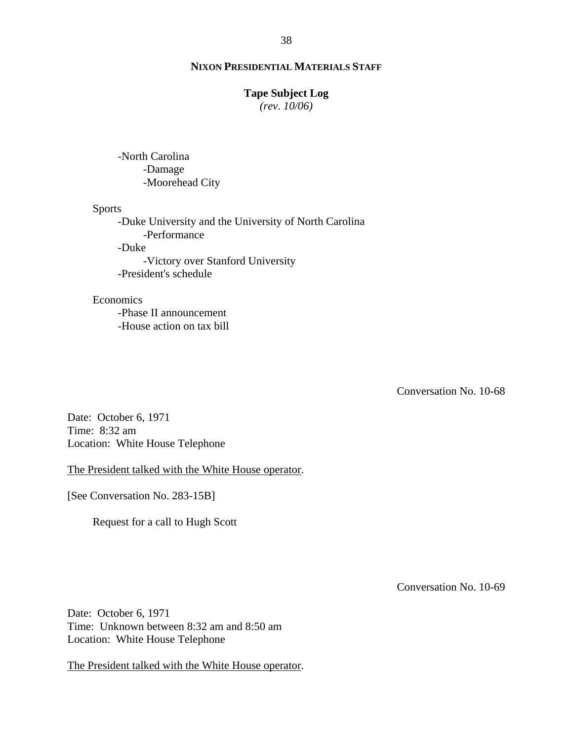# **Tape Subject Log**

*(rev. 10/06)*

-North Carolina -Damage -Moorehead City

#### Sports

-Duke University and the University of North Carolina -Performance -Duke -Victory over Stanford University -President's schedule

#### Economics

-Phase II announcement -House action on tax bill

Conversation No. 10-68

Date: October 6, 1971 Time: 8:32 am Location: White House Telephone

The President talked with the White House operator.

[See Conversation No. 283-15B]

Request for a call to Hugh Scott

Conversation No. 10-69

Date: October 6, 1971 Time: Unknown between 8:32 am and 8:50 am Location: White House Telephone

The President talked with the White House operator.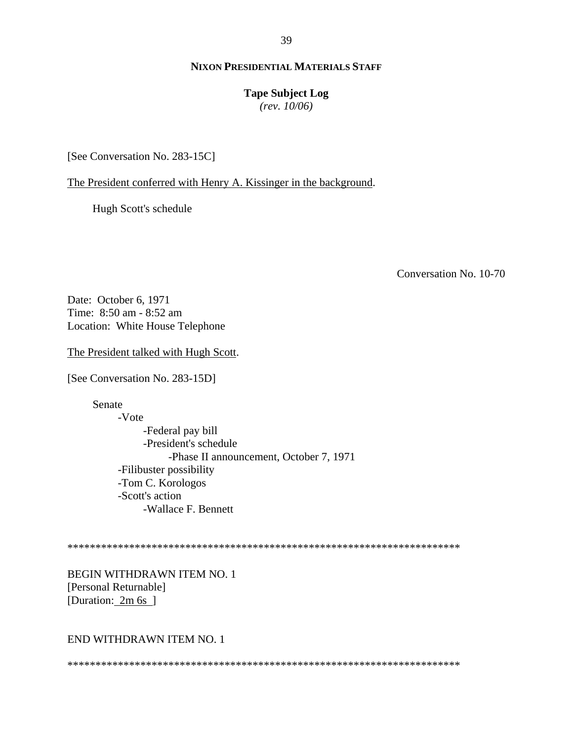39

# **NIXON PRESIDENTIAL MATERIALS STAFF**

#### **Tape Subject Log**

*(rev. 10/06)*

[See Conversation No. 283-15C]

The President conferred with Henry A. Kissinger in the background.

Hugh Scott's schedule

Conversation No. 10-70

Date: October 6, 1971 Time: 8:50 am - 8:52 am Location: White House Telephone

The President talked with Hugh Scott.

[See Conversation No. 283-15D]

Senate

-Vote -Federal pay bill -President's schedule -Phase II announcement, October 7, 1971 -Filibuster possibility -Tom C. Korologos -Scott's action -Wallace F. Bennett

\*\*\*\*\*\*\*\*\*\*\*\*\*\*\*\*\*\*\*\*\*\*\*\*\*\*\*\*\*\*\*\*\*\*\*\*\*\*\*\*\*\*\*\*\*\*\*\*\*\*\*\*\*\*\*\*\*\*\*\*\*\*\*\*\*\*\*\*\*\*

BEGIN WITHDRAWN ITEM NO. 1 [Personal Returnable] [Duration: 2m 6s]

#### END WITHDRAWN ITEM NO. 1

\*\*\*\*\*\*\*\*\*\*\*\*\*\*\*\*\*\*\*\*\*\*\*\*\*\*\*\*\*\*\*\*\*\*\*\*\*\*\*\*\*\*\*\*\*\*\*\*\*\*\*\*\*\*\*\*\*\*\*\*\*\*\*\*\*\*\*\*\*\*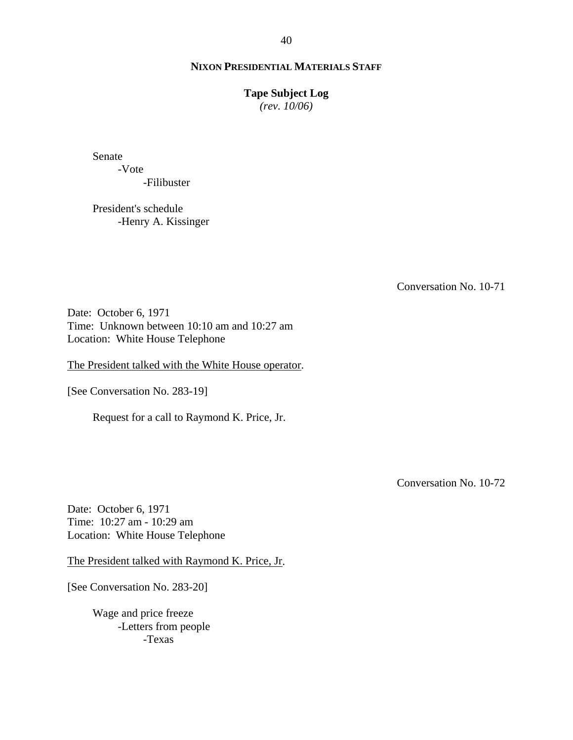#### **Tape Subject Log**

*(rev. 10/06)*

Senate

-Vote -Filibuster

President's schedule -Henry A. Kissinger

Conversation No. 10-71

Date: October 6, 1971 Time: Unknown between 10:10 am and 10:27 am Location: White House Telephone

The President talked with the White House operator.

[See Conversation No. 283-19]

Request for a call to Raymond K. Price, Jr.

Conversation No. 10-72

Date: October 6, 1971 Time: 10:27 am - 10:29 am Location: White House Telephone

The President talked with Raymond K. Price, Jr.

[See Conversation No. 283-20]

Wage and price freeze -Letters from people -Texas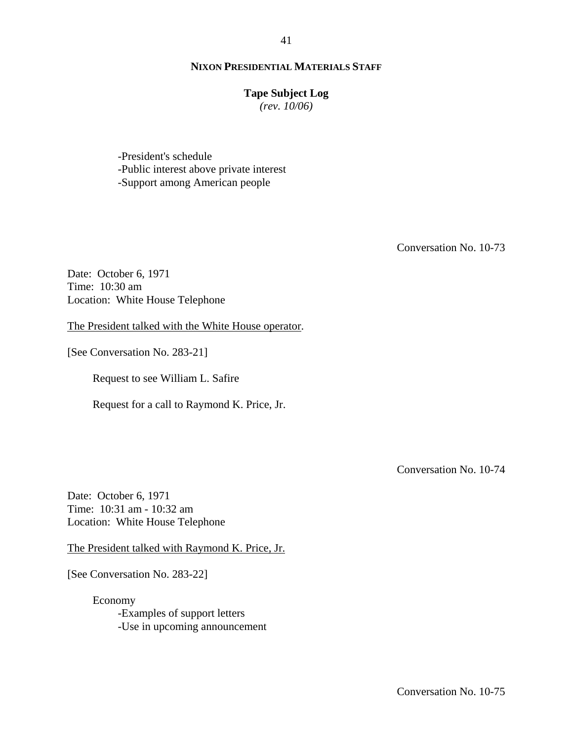## **Tape Subject Log**

*(rev. 10/06)*

-President's schedule -Public interest above private interest -Support among American people

Conversation No. 10-73

Date: October 6, 1971 Time: 10:30 am Location: White House Telephone

The President talked with the White House operator.

[See Conversation No. 283-21]

Request to see William L. Safire

Request for a call to Raymond K. Price, Jr.

Conversation No. 10-74

Date: October 6, 1971 Time: 10:31 am - 10:32 am Location: White House Telephone

The President talked with Raymond K. Price, Jr.

[See Conversation No. 283-22]

Economy -Examples of support letters -Use in upcoming announcement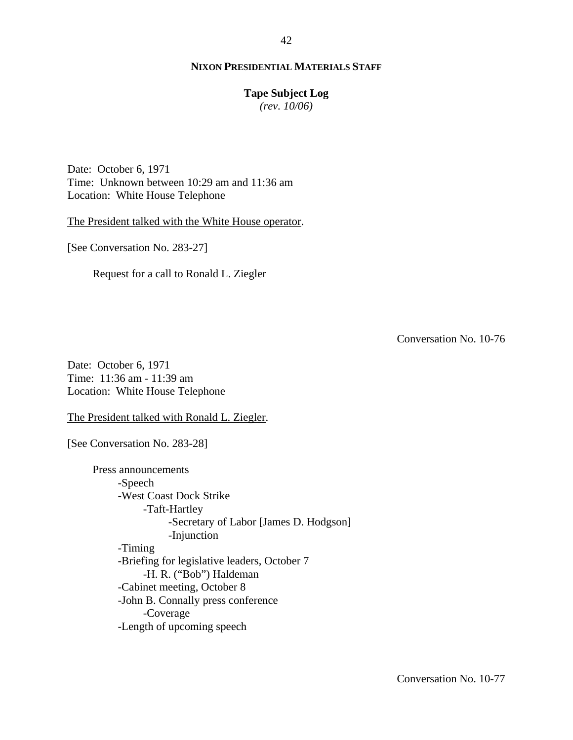#### **Tape Subject Log**

*(rev. 10/06)*

Date: October 6, 1971 Time: Unknown between 10:29 am and 11:36 am Location: White House Telephone

The President talked with the White House operator.

[See Conversation No. 283-27]

Request for a call to Ronald L. Ziegler

Conversation No. 10-76

Date: October 6, 1971 Time: 11:36 am - 11:39 am Location: White House Telephone

The President talked with Ronald L. Ziegler.

[See Conversation No. 283-28]

Press announcements -Speech -West Coast Dock Strike -Taft-Hartley -Secretary of Labor [James D. Hodgson] -Injunction -Timing -Briefing for legislative leaders, October 7 -H. R. ("Bob") Haldeman -Cabinet meeting, October 8 -John B. Connally press conference -Coverage -Length of upcoming speech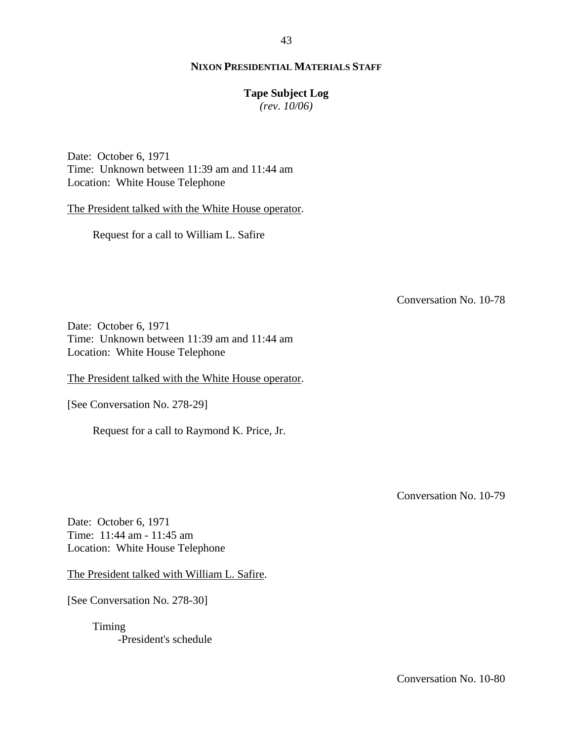# 43

# **NIXON PRESIDENTIAL MATERIALS STAFF**

# **Tape Subject Log**

*(rev. 10/06)*

Date: October 6, 1971 Time: Unknown between 11:39 am and 11:44 am Location: White House Telephone

The President talked with the White House operator.

Request for a call to William L. Safire

Conversation No. 10-78

Date: October 6, 1971 Time: Unknown between 11:39 am and 11:44 am Location: White House Telephone

The President talked with the White House operator.

[See Conversation No. 278-29]

Request for a call to Raymond K. Price, Jr.

Conversation No. 10-79

Date: October 6, 1971 Time: 11:44 am - 11:45 am Location: White House Telephone

The President talked with William L. Safire.

[See Conversation No. 278-30]

Timing -President's schedule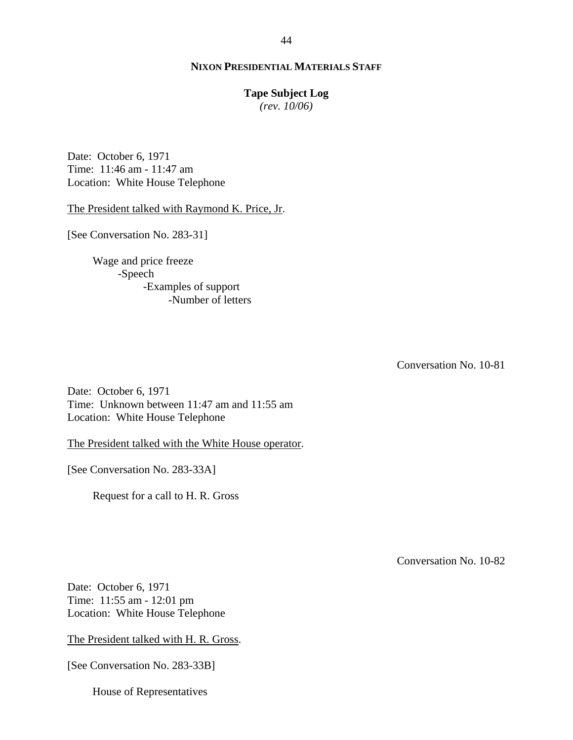#### **Tape Subject Log**

*(rev. 10/06)*

Date: October 6, 1971 Time: 11:46 am - 11:47 am Location: White House Telephone

The President talked with Raymond K. Price, Jr.

[See Conversation No. 283-31]

Wage and price freeze -Speech -Examples of support -Number of letters

Conversation No. 10-81

Date: October 6, 1971 Time: Unknown between 11:47 am and 11:55 am Location: White House Telephone

The President talked with the White House operator.

[See Conversation No. 283-33A]

Request for a call to H. R. Gross

Conversation No. 10-82

Date: October 6, 1971 Time: 11:55 am - 12:01 pm Location: White House Telephone

The President talked with H. R. Gross.

[See Conversation No. 283-33B]

House of Representatives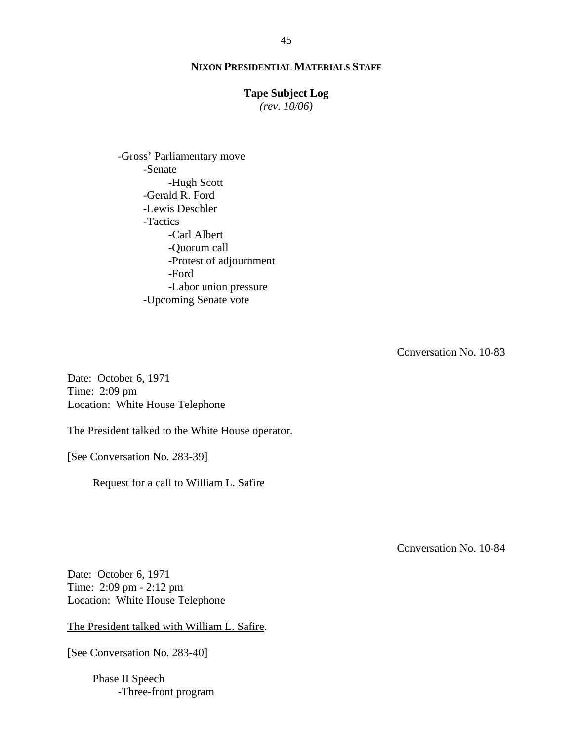# **Tape Subject Log**

*(rev. 10/06)*

-Gross' Parliamentary move -Senate -Hugh Scott -Gerald R. Ford -Lewis Deschler -Tactics -Carl Albert -Quorum call -Protest of adjournment -Ford -Labor union pressure -Upcoming Senate vote

Conversation No. 10-83

Date: October 6, 1971 Time: 2:09 pm Location: White House Telephone

The President talked to the White House operator.

[See Conversation No. 283-39]

Request for a call to William L. Safire

Conversation No. 10-84

Date: October 6, 1971 Time: 2:09 pm - 2:12 pm Location: White House Telephone

The President talked with William L. Safire.

[See Conversation No. 283-40]

Phase II Speech -Three-front program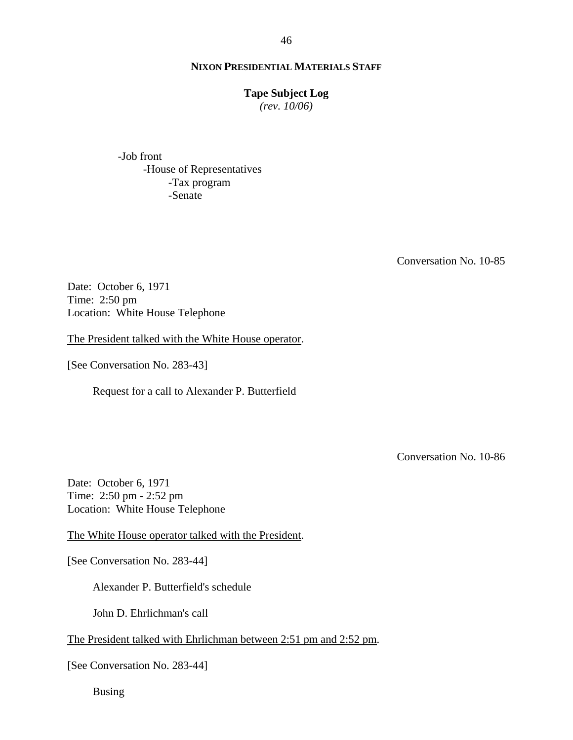# **Tape Subject Log**

*(rev. 10/06)*

-Job front -House of Representatives -Tax program -Senate

Conversation No. 10-85

Date: October 6, 1971 Time: 2:50 pm Location: White House Telephone

The President talked with the White House operator.

[See Conversation No. 283-43]

Request for a call to Alexander P. Butterfield

Conversation No. 10-86

Date: October 6, 1971 Time: 2:50 pm - 2:52 pm Location: White House Telephone

The White House operator talked with the President.

[See Conversation No. 283-44]

Alexander P. Butterfield's schedule

John D. Ehrlichman's call

The President talked with Ehrlichman between 2:51 pm and 2:52 pm.

[See Conversation No. 283-44]

Busing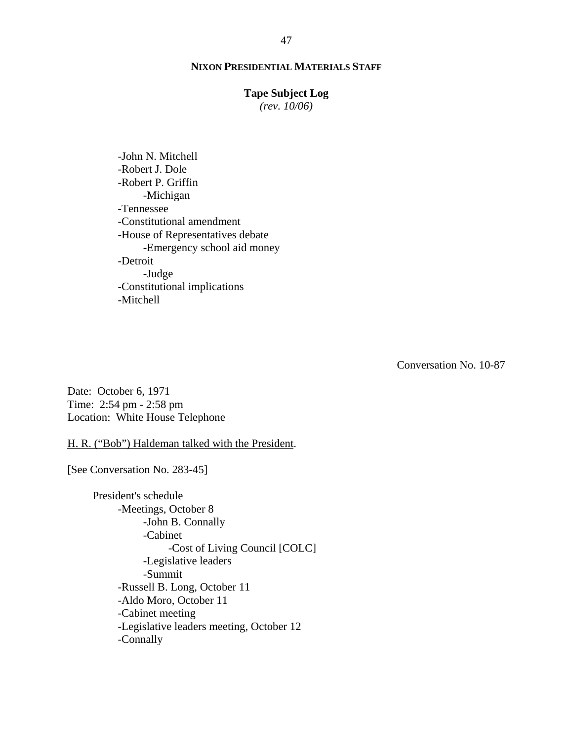#### **Tape Subject Log**

*(rev. 10/06)*

-John N. Mitchell -Robert J. Dole -Robert P. Griffin -Michigan -Tennessee -Constitutional amendment -House of Representatives debate -Emergency school aid money -Detroit -Judge -Constitutional implications -Mitchell

Conversation No. 10-87

Date: October 6, 1971 Time: 2:54 pm - 2:58 pm Location: White House Telephone

H. R. ("Bob") Haldeman talked with the President.

[See Conversation No. 283-45]

President's schedule -Meetings, October 8 -John B. Connally -Cabinet -Cost of Living Council [COLC] -Legislative leaders -Summit -Russell B. Long, October 11 -Aldo Moro, October 11 -Cabinet meeting -Legislative leaders meeting, October 12 -Connally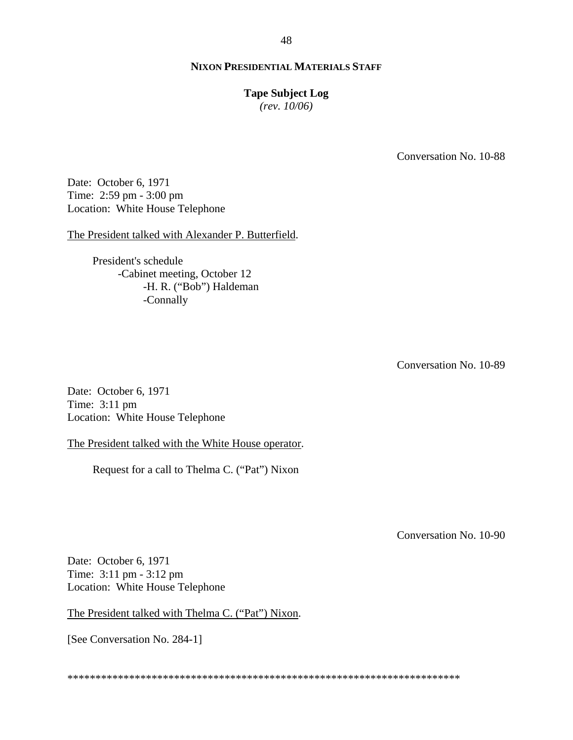## **Tape Subject Log**

*(rev. 10/06)*

Conversation No. 10-88

Date: October 6, 1971 Time: 2:59 pm - 3:00 pm Location: White House Telephone

The President talked with Alexander P. Butterfield.

President's schedule -Cabinet meeting, October 12 -H. R. ("Bob") Haldeman -Connally

Conversation No. 10-89

Date: October 6, 1971 Time: 3:11 pm Location: White House Telephone

The President talked with the White House operator.

Request for a call to Thelma C. ("Pat") Nixon

Conversation No. 10-90

Date: October 6, 1971 Time: 3:11 pm - 3:12 pm Location: White House Telephone

The President talked with Thelma C. ("Pat") Nixon.

[See Conversation No. 284-1]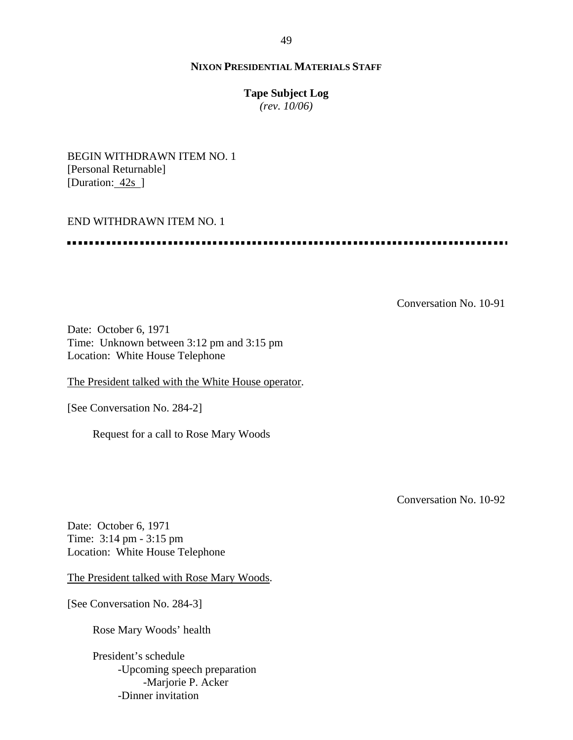# **Tape Subject Log**

*(rev. 10/06)*

BEGIN WITHDRAWN ITEM NO. 1 [Personal Returnable] [Duration: 42s]

## END WITHDRAWN ITEM NO. 1

..........................

Conversation No. 10-91

Date: October 6, 1971 Time: Unknown between 3:12 pm and 3:15 pm Location: White House Telephone

The President talked with the White House operator.

[See Conversation No. 284-2]

Request for a call to Rose Mary Woods

Conversation No. 10-92

Date: October 6, 1971 Time: 3:14 pm - 3:15 pm Location: White House Telephone

The President talked with Rose Mary Woods.

[See Conversation No. 284-3]

Rose Mary Woods' health

President's schedule -Upcoming speech preparation -Marjorie P. Acker -Dinner invitation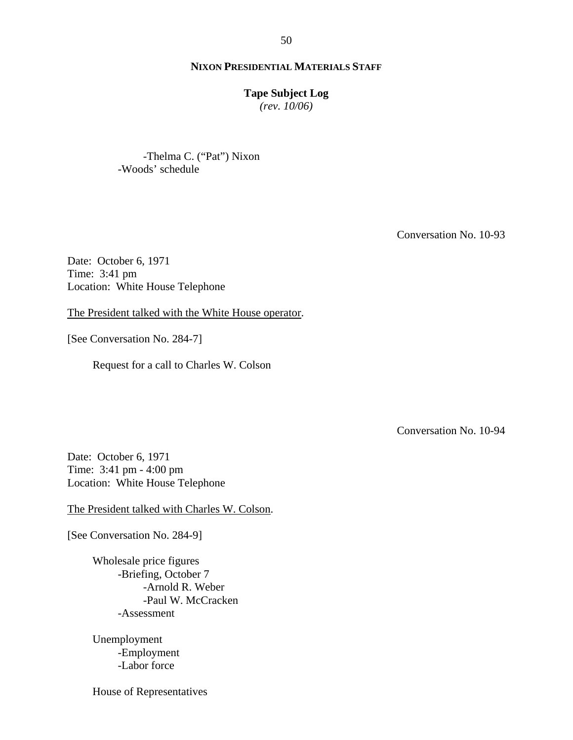#### **Tape Subject Log**

*(rev. 10/06)*

-Thelma C. ("Pat") Nixon -Woods' schedule

Conversation No. 10-93

Date: October 6, 1971 Time: 3:41 pm Location: White House Telephone

The President talked with the White House operator.

[See Conversation No. 284-7]

Request for a call to Charles W. Colson

Conversation No. 10-94

Date: October 6, 1971 Time: 3:41 pm - 4:00 pm Location: White House Telephone

The President talked with Charles W. Colson.

[See Conversation No. 284-9]

Wholesale price figures -Briefing, October 7 -Arnold R. Weber -Paul W. McCracken -Assessment

Unemployment -Employment -Labor force

House of Representatives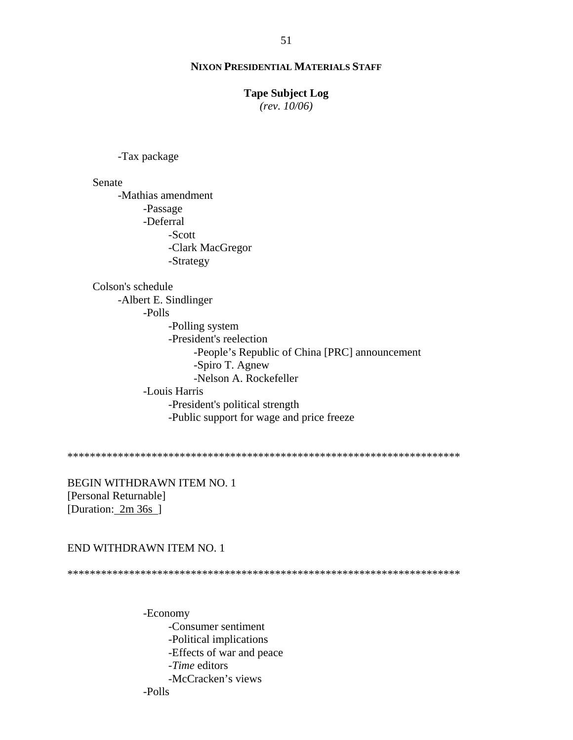#### **Tape Subject Log**

*(rev. 10/06)*

-Tax package

Senate

-Mathias amendment -Passage -Deferral -Scott -Clark MacGregor -Strategy

Colson's schedule -Albert E. Sindlinger -Polls -Polling system -President's reelection -People's Republic of China [PRC] announcement -Spiro T. Agnew -Nelson A. Rockefeller -Louis Harris -President's political strength -Public support for wage and price freeze

\*\*\*\*\*\*\*\*\*\*\*\*\*\*\*\*\*\*\*\*\*\*\*\*\*\*\*\*\*\*\*\*\*\*\*\*\*\*\*\*\*\*\*\*\*\*\*\*\*\*\*\*\*\*\*\*\*\*\*\*\*\*\*\*\*\*\*\*\*\*

BEGIN WITHDRAWN ITEM NO. 1 [Personal Returnable] [Duration: 2m 36s ]

#### END WITHDRAWN ITEM NO. 1

\*\*\*\*\*\*\*\*\*\*\*\*\*\*\*\*\*\*\*\*\*\*\*\*\*\*\*\*\*\*\*\*\*\*\*\*\*\*\*\*\*\*\*\*\*\*\*\*\*\*\*\*\*\*\*\*\*\*\*\*\*\*\*\*\*\*\*\*\*\*

-Economy -Consumer sentiment -Political implications -Effects of war and peace -*Time* editors -McCracken's views -Polls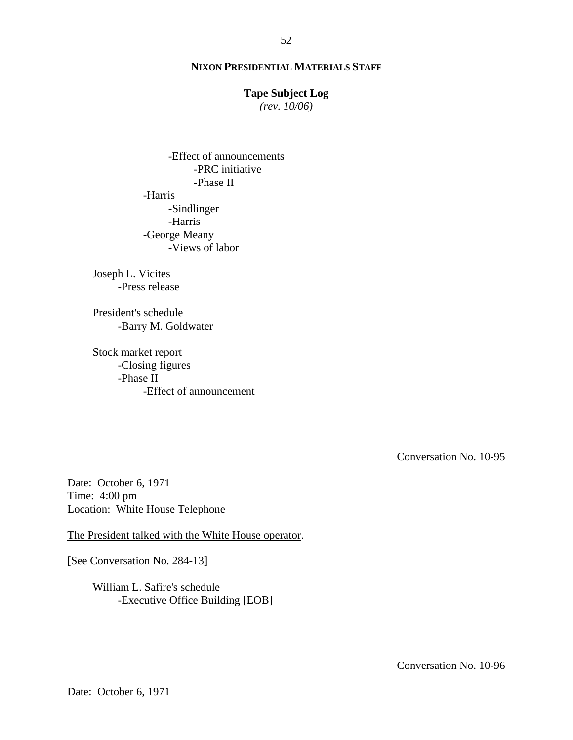## **Tape Subject Log**

*(rev. 10/06)*

-Effect of announcements -PRC initiative -Phase II -Harris -Sindlinger -Harris -George Meany -Views of labor

Joseph L. Vicites -Press release

President's schedule -Barry M. Goldwater

Stock market report -Closing figures -Phase II -Effect of announcement

Conversation No. 10-95

Date: October 6, 1971 Time: 4:00 pm Location: White House Telephone

The President talked with the White House operator.

[See Conversation No. 284-13]

William L. Safire's schedule -Executive Office Building [EOB]

Conversation No. 10-96

Date: October 6, 1971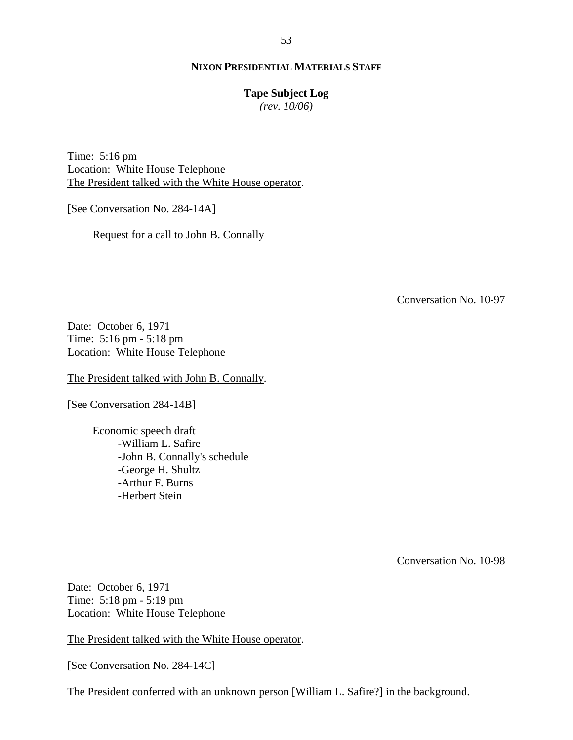#### **Tape Subject Log**

*(rev. 10/06)*

Time: 5:16 pm Location: White House Telephone The President talked with the White House operator.

[See Conversation No. 284-14A]

Request for a call to John B. Connally

Conversation No. 10-97

Date: October 6, 1971 Time: 5:16 pm - 5:18 pm Location: White House Telephone

The President talked with John B. Connally.

[See Conversation 284-14B]

Economic speech draft -William L. Safire -John B. Connally's schedule -George H. Shultz -Arthur F. Burns -Herbert Stein

Conversation No. 10-98

Date: October 6, 1971 Time: 5:18 pm - 5:19 pm Location: White House Telephone

The President talked with the White House operator.

[See Conversation No. 284-14C]

The President conferred with an unknown person [William L. Safire?] in the background.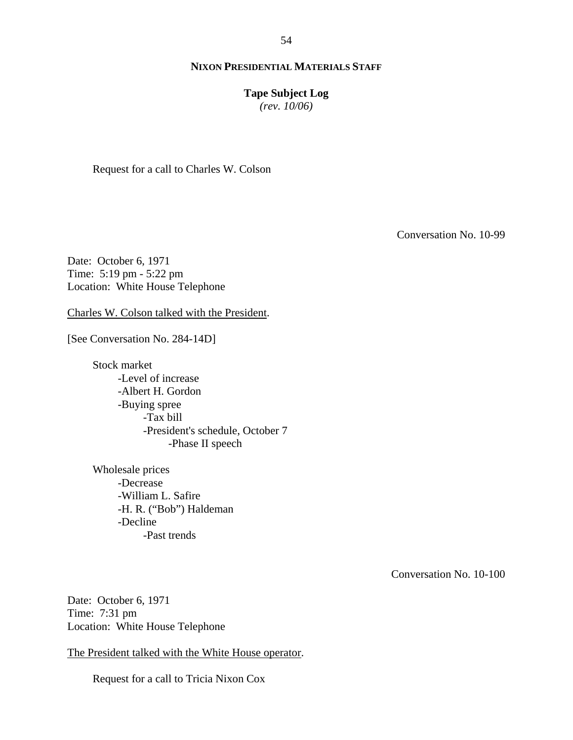# **Tape Subject Log**

*(rev. 10/06)*

Request for a call to Charles W. Colson

Conversation No. 10-99

Date: October 6, 1971 Time: 5:19 pm - 5:22 pm Location: White House Telephone

Charles W. Colson talked with the President.

[See Conversation No. 284-14D]

Stock market -Level of increase -Albert H. Gordon -Buying spree -Tax bill -President's schedule, October 7 -Phase II speech

Wholesale prices -Decrease -William L. Safire -H. R. ("Bob") Haldeman -Decline -Past trends

Conversation No. 10-100

Date: October 6, 1971 Time: 7:31 pm Location: White House Telephone

The President talked with the White House operator.

Request for a call to Tricia Nixon Cox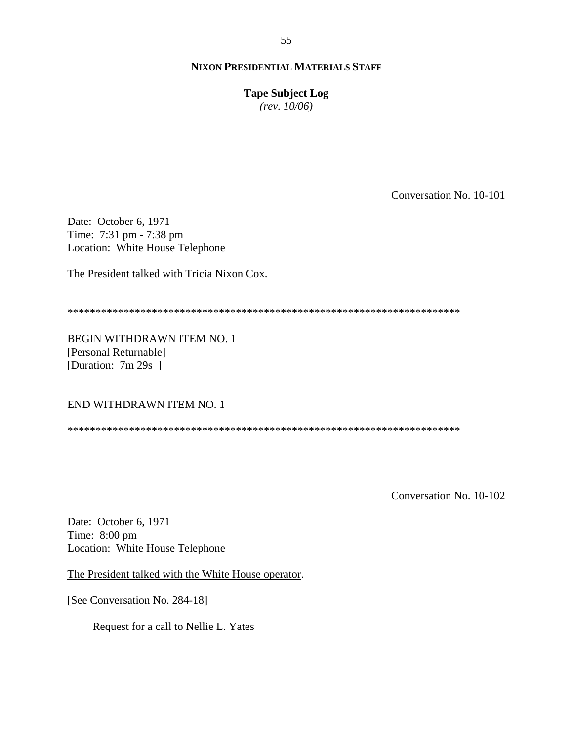**Tape Subject Log**

*(rev. 10/06)*

Conversation No. 10-101

Date: October 6, 1971 Time: 7:31 pm - 7:38 pm Location: White House Telephone

The President talked with Tricia Nixon Cox.

\*\*\*\*\*\*\*\*\*\*\*\*\*\*\*\*\*\*\*\*\*\*\*\*\*\*\*\*\*\*\*\*\*\*\*\*\*\*\*\*\*\*\*\*\*\*\*\*\*\*\*\*\*\*\*\*\*\*\*\*\*\*\*\*\*\*\*\*\*\*

BEGIN WITHDRAWN ITEM NO. 1 [Personal Returnable] [Duration: 7m 29s ]

END WITHDRAWN ITEM NO. 1

\*\*\*\*\*\*\*\*\*\*\*\*\*\*\*\*\*\*\*\*\*\*\*\*\*\*\*\*\*\*\*\*\*\*\*\*\*\*\*\*\*\*\*\*\*\*\*\*\*\*\*\*\*\*\*\*\*\*\*\*\*\*\*\*\*\*\*\*\*\*

Conversation No. 10-102

Date: October 6, 1971 Time: 8:00 pm Location: White House Telephone

The President talked with the White House operator.

[See Conversation No. 284-18]

Request for a call to Nellie L. Yates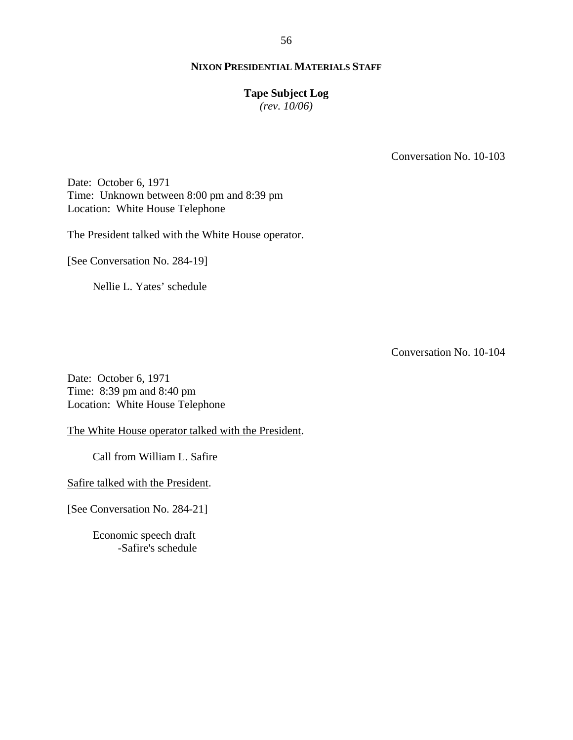# **Tape Subject Log**

*(rev. 10/06)*

Conversation No. 10-103

Date: October 6, 1971 Time: Unknown between 8:00 pm and 8:39 pm Location: White House Telephone

The President talked with the White House operator.

[See Conversation No. 284-19]

Nellie L. Yates' schedule

Conversation No. 10-104

Date: October 6, 1971 Time: 8:39 pm and 8:40 pm Location: White House Telephone

The White House operator talked with the President.

Call from William L. Safire

Safire talked with the President.

[See Conversation No. 284-21]

Economic speech draft -Safire's schedule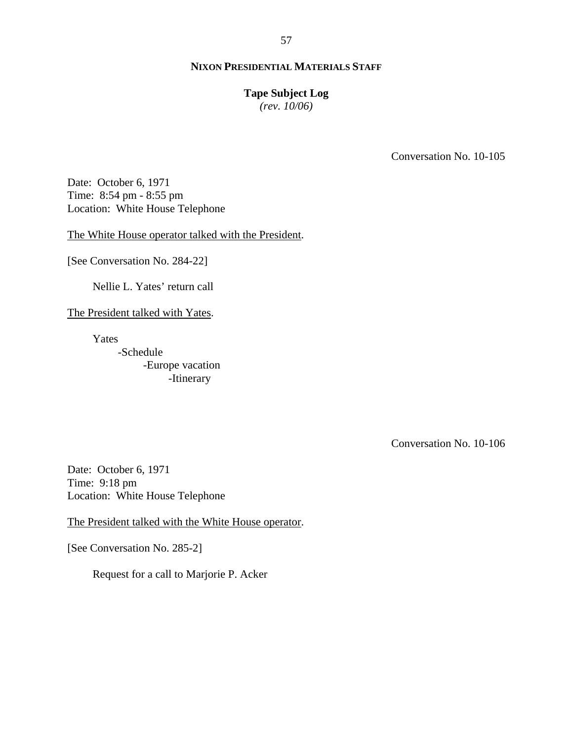## **Tape Subject Log**

*(rev. 10/06)*

Conversation No. 10-105

Date: October 6, 1971 Time: 8:54 pm - 8:55 pm Location: White House Telephone

The White House operator talked with the President.

[See Conversation No. 284-22]

Nellie L. Yates' return call

The President talked with Yates.

Yates

-Schedule -Europe vacation -Itinerary

Conversation No. 10-106

Date: October 6, 1971 Time: 9:18 pm Location: White House Telephone

The President talked with the White House operator.

[See Conversation No. 285-2]

Request for a call to Marjorie P. Acker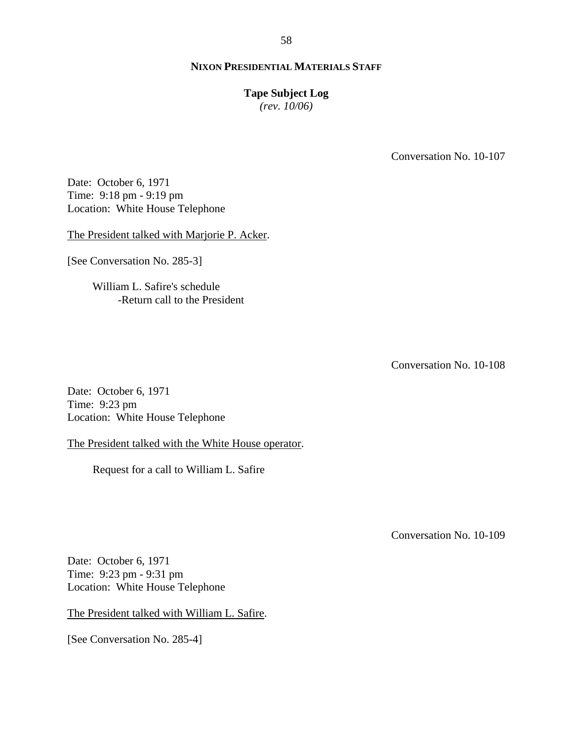#### **Tape Subject Log**

*(rev. 10/06)*

Conversation No. 10-107

Date: October 6, 1971 Time: 9:18 pm - 9:19 pm Location: White House Telephone

The President talked with Marjorie P. Acker.

[See Conversation No. 285-3]

William L. Safire's schedule -Return call to the President

Conversation No. 10-108

Date: October 6, 1971 Time: 9:23 pm Location: White House Telephone

The President talked with the White House operator.

Request for a call to William L. Safire

Conversation No. 10-109

Date: October 6, 1971 Time: 9:23 pm - 9:31 pm Location: White House Telephone

The President talked with William L. Safire.

[See Conversation No. 285-4]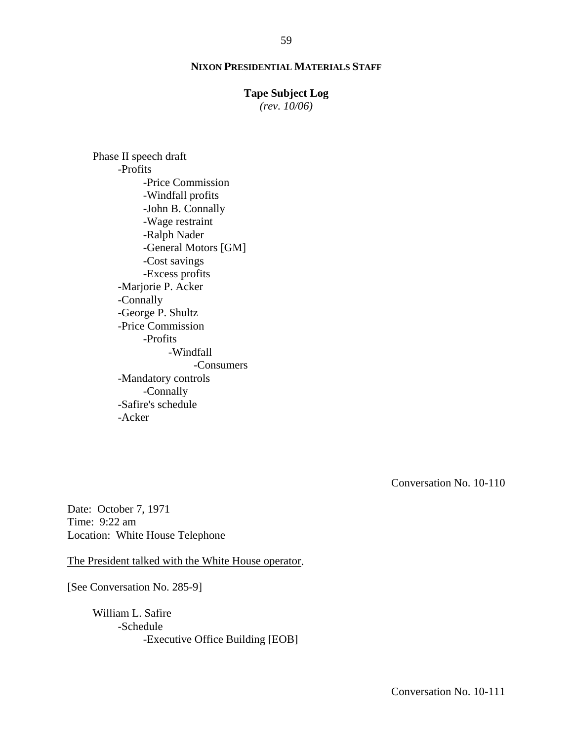#### **Tape Subject Log**

*(rev. 10/06)*

Phase II speech draft -Profits -Price Commission -Windfall profits -John B. Connally -Wage restraint -Ralph Nader -General Motors [GM] -Cost savings -Excess profits -Marjorie P. Acker -Connally -George P. Shultz -Price Commission -Profits -Windfall -Consumers -Mandatory controls -Connally -Safire's schedule -Acker

Conversation No. 10-110

Date: October 7, 1971 Time: 9:22 am Location: White House Telephone

The President talked with the White House operator.

[See Conversation No. 285-9]

William L. Safire -Schedule -Executive Office Building [EOB]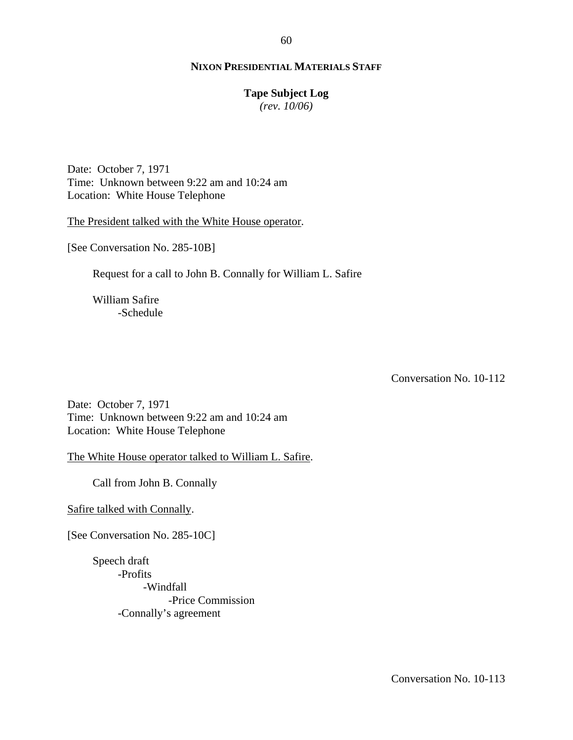# **Tape Subject Log**

*(rev. 10/06)*

Date: October 7, 1971 Time: Unknown between 9:22 am and 10:24 am Location: White House Telephone

The President talked with the White House operator.

[See Conversation No. 285-10B]

Request for a call to John B. Connally for William L. Safire

William Safire -Schedule

Conversation No. 10-112

Date: October 7, 1971 Time: Unknown between 9:22 am and 10:24 am Location: White House Telephone

The White House operator talked to William L. Safire.

Call from John B. Connally

Safire talked with Connally.

[See Conversation No. 285-10C]

Speech draft -Profits -Windfall -Price Commission -Connally's agreement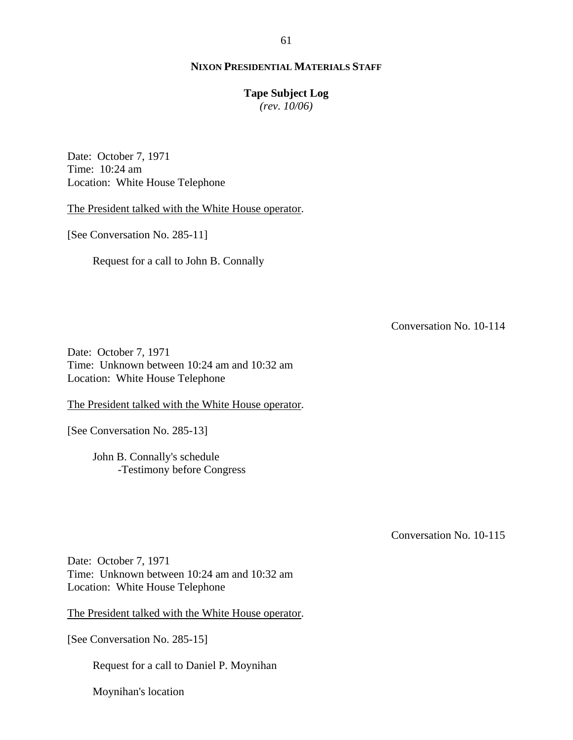#### **Tape Subject Log**

*(rev. 10/06)*

Date: October 7, 1971 Time: 10:24 am Location: White House Telephone

The President talked with the White House operator.

[See Conversation No. 285-11]

Request for a call to John B. Connally

Conversation No. 10-114

Date: October 7, 1971 Time: Unknown between 10:24 am and 10:32 am Location: White House Telephone

The President talked with the White House operator.

[See Conversation No. 285-13]

John B. Connally's schedule -Testimony before Congress

Conversation No. 10-115

Date: October 7, 1971 Time: Unknown between 10:24 am and 10:32 am Location: White House Telephone

The President talked with the White House operator.

[See Conversation No. 285-15]

Request for a call to Daniel P. Moynihan

Moynihan's location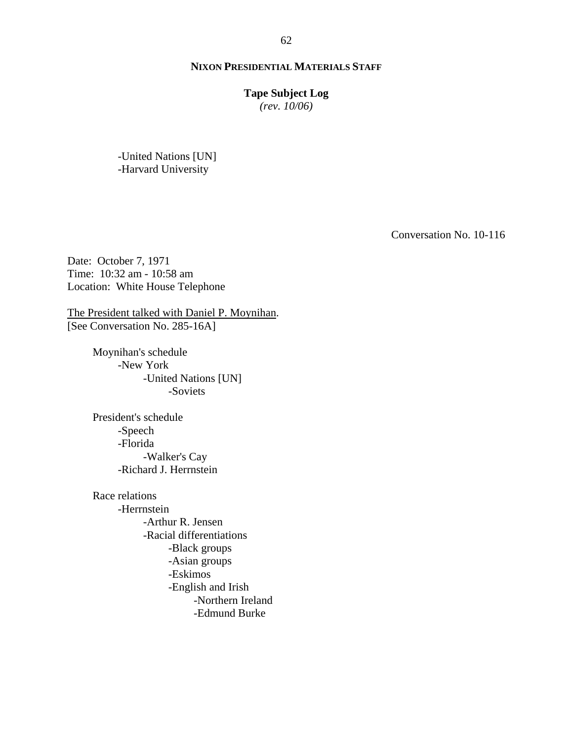## **Tape Subject Log**

*(rev. 10/06)*

-United Nations [UN] -Harvard University

Conversation No. 10-116

Date: October 7, 1971 Time: 10:32 am - 10:58 am Location: White House Telephone

The President talked with Daniel P. Moynihan. [See Conversation No. 285-16A]

> Moynihan's schedule -New York -United Nations [UN] -Soviets

President's schedule -Speech -Florida -Walker's Cay -Richard J. Herrnstein

Race relations -Herrnstein -Arthur R. Jensen -Racial differentiations -Black groups -Asian groups -Eskimos -English and Irish -Northern Ireland -Edmund Burke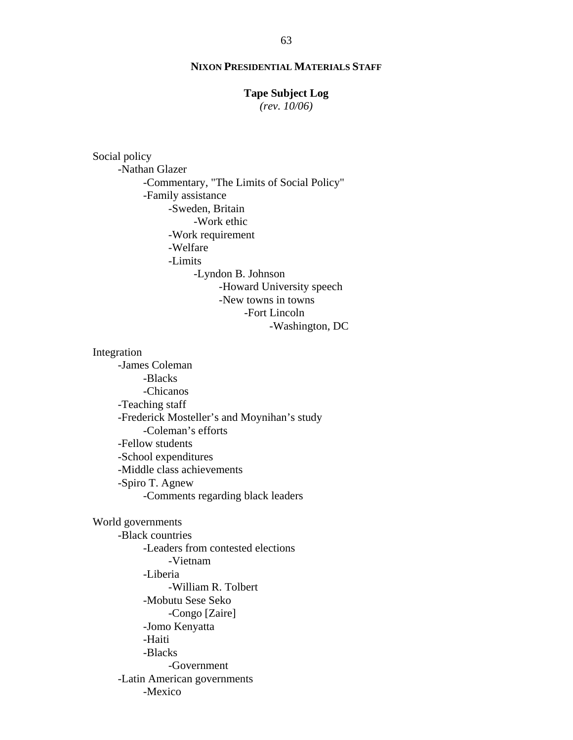# **Tape Subject Log**

*(rev. 10/06)*

Social policy -Nathan Glazer -Commentary, "The Limits of Social Policy" -Family assistance -Sweden, Britain -Work ethic -Work requirement -Welfare -Limits -Lyndon B. Johnson -Howard University speech -New towns in towns -Fort Lincoln -Washington, DC

#### Integration

-James Coleman -Blacks -Chicanos -Teaching staff -Frederick Mosteller's and Moynihan's study -Coleman's efforts -Fellow students -School expenditures -Middle class achievements -Spiro T. Agnew -Comments regarding black leaders

World governments -Black countries -Leaders from contested elections -Vietnam -Liberia -William R. Tolbert -Mobutu Sese Seko -Congo [Zaire] -Jomo Kenyatta -Haiti -Blacks -Government -Latin American governments -Mexico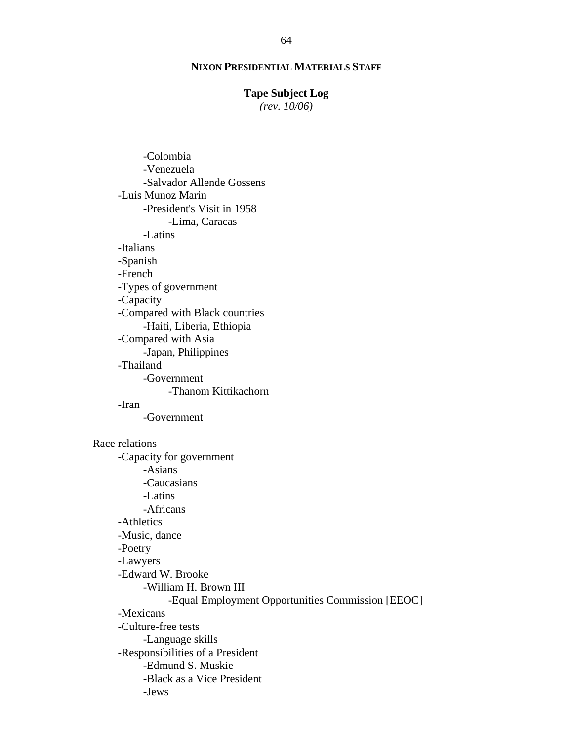## **Tape Subject Log**

*(rev. 10/06)*

-Colombia -Venezuela -Salvador Allende Gossens -Luis Munoz Marin -President's Visit in 1958 -Lima, Caracas -Latins -Italians -Spanish -French -Types of government -Capacity -Compared with Black countries -Haiti, Liberia, Ethiopia -Compared with Asia -Japan, Philippines -Thailand -Government -Thanom Kittikachorn -Iran -Government Race relations -Capacity for government -Asians -Caucasians -Latins -Africans -Athletics -Music, dance -Poetry -Lawyers -Edward W. Brooke -William H. Brown III -Equal Employment Opportunities Commission [EEOC] -Mexicans -Culture-free tests -Language skills -Responsibilities of a President -Edmund S. Muskie -Black as a Vice President -Jews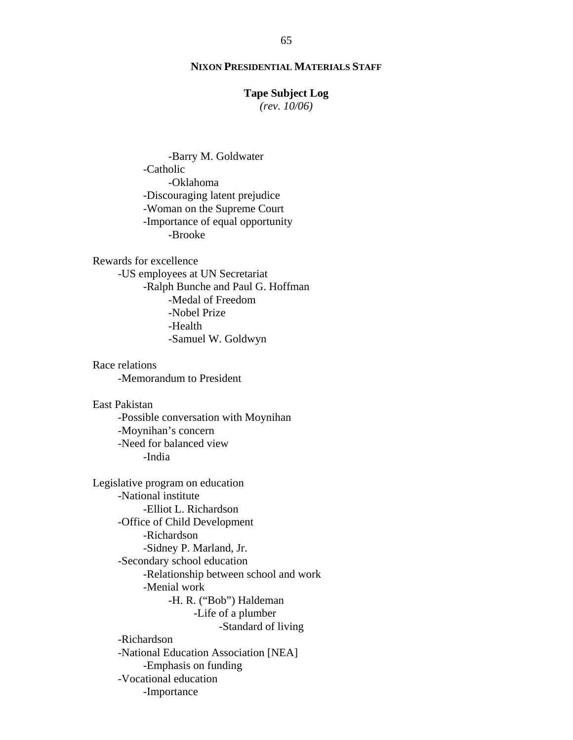#### **Tape Subject Log**

*(rev. 10/06)*

-Barry M. Goldwater -Catholic -Oklahoma -Discouraging latent prejudice -Woman on the Supreme Court -Importance of equal opportunity -Brooke

Rewards for excellence -US employees at UN Secretariat -Ralph Bunche and Paul G. Hoffman -Medal of Freedom -Nobel Prize -Health -Samuel W. Goldwyn

Race relations -Memorandum to President

East Pakistan -Possible conversation with Moynihan -Moynihan's concern -Need for balanced view -India

Legislative program on education -National institute -Elliot L. Richardson -Office of Child Development -Richardson -Sidney P. Marland, Jr. -Secondary school education -Relationship between school and work -Menial work -H. R. ("Bob") Haldeman -Life of a plumber -Standard of living -Richardson -National Education Association [NEA] -Emphasis on funding -Vocational education -Importance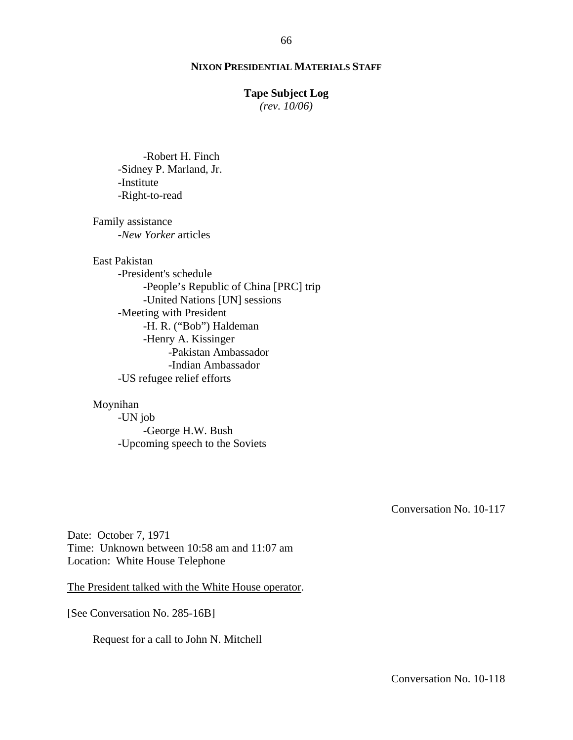66

#### **Tape Subject Log**

*(rev. 10/06)*

-Robert H. Finch -Sidney P. Marland, Jr. -Institute -Right-to-read

Family assistance *-New Yorker* articles

East Pakistan

-President's schedule -People's Republic of China [PRC] trip -United Nations [UN] sessions -Meeting with President -H. R. ("Bob") Haldeman -Henry A. Kissinger -Pakistan Ambassador -Indian Ambassador -US refugee relief efforts

## Moynihan

-UN job -George H.W. Bush -Upcoming speech to the Soviets

Conversation No. 10-117

Date: October 7, 1971 Time: Unknown between 10:58 am and 11:07 am Location: White House Telephone

The President talked with the White House operator.

[See Conversation No. 285-16B]

Request for a call to John N. Mitchell

Conversation No. 10-118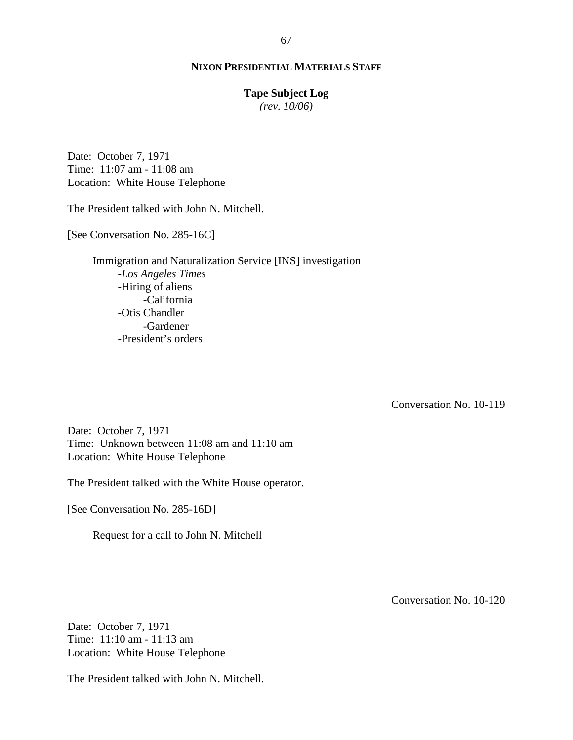# **Tape Subject Log**

*(rev. 10/06)*

Date: October 7, 1971 Time: 11:07 am - 11:08 am Location: White House Telephone

The President talked with John N. Mitchell.

[See Conversation No. 285-16C]

Immigration and Naturalization Service [INS] investigation -*Los Angeles Times* -Hiring of aliens -California -Otis Chandler -Gardener -President's orders

Conversation No. 10-119

Date: October 7, 1971 Time: Unknown between 11:08 am and 11:10 am Location: White House Telephone

The President talked with the White House operator.

[See Conversation No. 285-16D]

Request for a call to John N. Mitchell

Conversation No. 10-120

Date: October 7, 1971 Time: 11:10 am - 11:13 am Location: White House Telephone

The President talked with John N. Mitchell.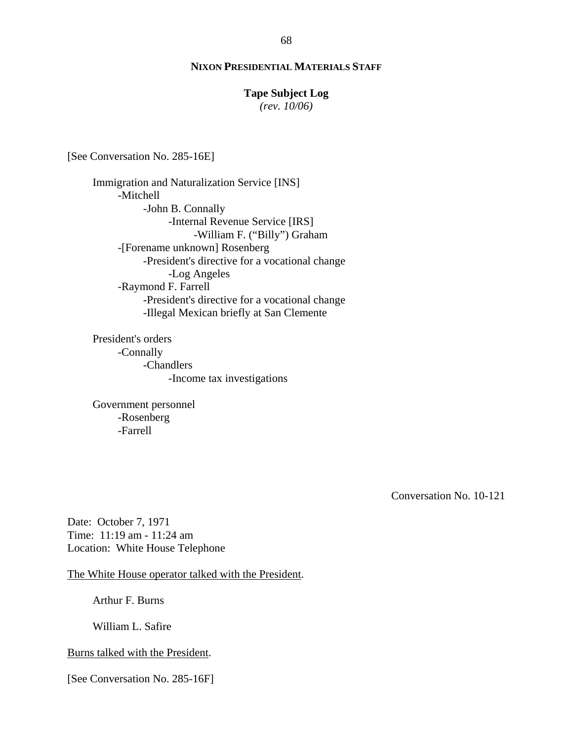#### **Tape Subject Log**

*(rev. 10/06)*

[See Conversation No. 285-16E]

Immigration and Naturalization Service [INS] -Mitchell -John B. Connally -Internal Revenue Service [IRS] -William F. ("Billy") Graham -[Forename unknown] Rosenberg -President's directive for a vocational change -Log Angeles -Raymond F. Farrell -President's directive for a vocational change -Illegal Mexican briefly at San Clemente

President's orders -Connally -Chandlers -Income tax investigations

Government personnel -Rosenberg -Farrell

Conversation No. 10-121

Date: October 7, 1971 Time: 11:19 am - 11:24 am Location: White House Telephone

The White House operator talked with the President.

Arthur F. Burns

William L. Safire

#### Burns talked with the President.

[See Conversation No. 285-16F]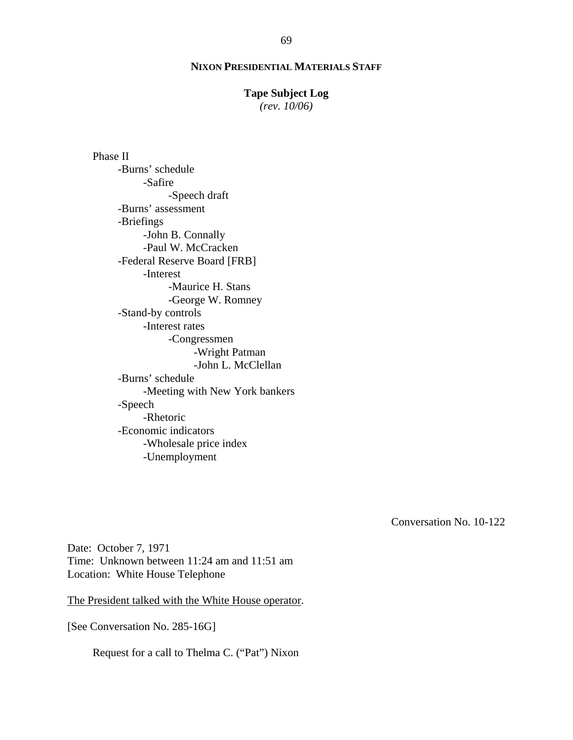#### **Tape Subject Log**

*(rev. 10/06)*

Phase II -Burns' schedule -Safire -Speech draft -Burns' assessment -Briefings -John B. Connally -Paul W. McCracken -Federal Reserve Board [FRB] -Interest -Maurice H. Stans -George W. Romney -Stand-by controls -Interest rates -Congressmen -Wright Patman -John L. McClellan -Burns' schedule -Meeting with New York bankers -Speech -Rhetoric -Economic indicators -Wholesale price index -Unemployment

Conversation No. 10-122

Date: October 7, 1971 Time: Unknown between 11:24 am and 11:51 am Location: White House Telephone

The President talked with the White House operator.

[See Conversation No. 285-16G]

Request for a call to Thelma C. ("Pat") Nixon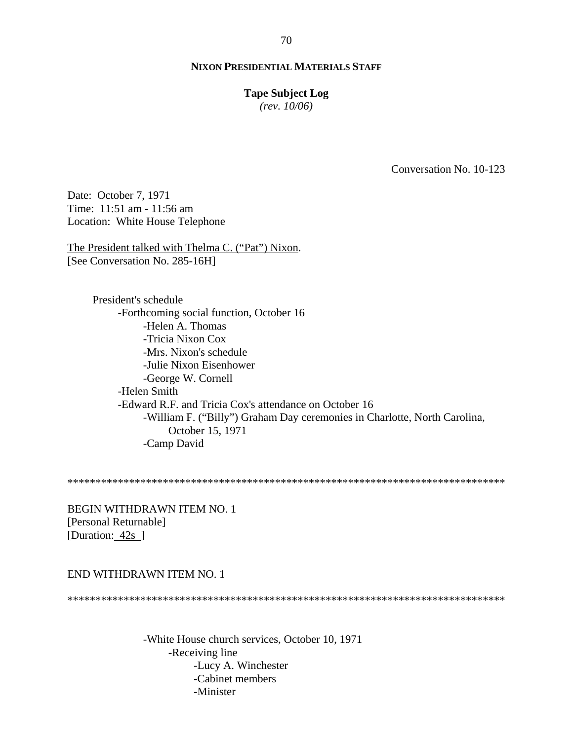#### **Tape Subject Log**

*(rev. 10/06)*

Conversation No. 10-123

Date: October 7, 1971 Time: 11:51 am - 11:56 am Location: White House Telephone

The President talked with Thelma C. ("Pat") Nixon. [See Conversation No. 285-16H]

> President's schedule -Forthcoming social function, October 16 -Helen A. Thomas -Tricia Nixon Cox -Mrs. Nixon's schedule -Julie Nixon Eisenhower -George W. Cornell -Helen Smith -Edward R.F. and Tricia Cox's attendance on October 16 -William F. ("Billy") Graham Day ceremonies in Charlotte, North Carolina, October 15, 1971 -Camp David

\*\*\*\*\*\*\*\*\*\*\*\*\*\*\*\*\*\*\*\*\*\*\*\*\*\*\*\*\*\*\*\*\*\*\*\*\*\*\*\*\*\*\*\*\*\*\*\*\*\*\*\*\*\*\*\*\*\*\*\*\*\*\*\*\*\*\*\*\*\*\*\*\*\*\*\*\*\*

BEGIN WITHDRAWN ITEM NO. 1 [Personal Returnable] [Duration: 42s ]

#### END WITHDRAWN ITEM NO. 1

\*\*\*\*\*\*\*\*\*\*\*\*\*\*\*\*\*\*\*\*\*\*\*\*\*\*\*\*\*\*\*\*\*\*\*\*\*\*\*\*\*\*\*\*\*\*\*\*\*\*\*\*\*\*\*\*\*\*\*\*\*\*\*\*\*\*\*\*\*\*\*\*\*\*\*\*\*\*

-White House church services, October 10, 1971 -Receiving line -Lucy A. Winchester -Cabinet members -Minister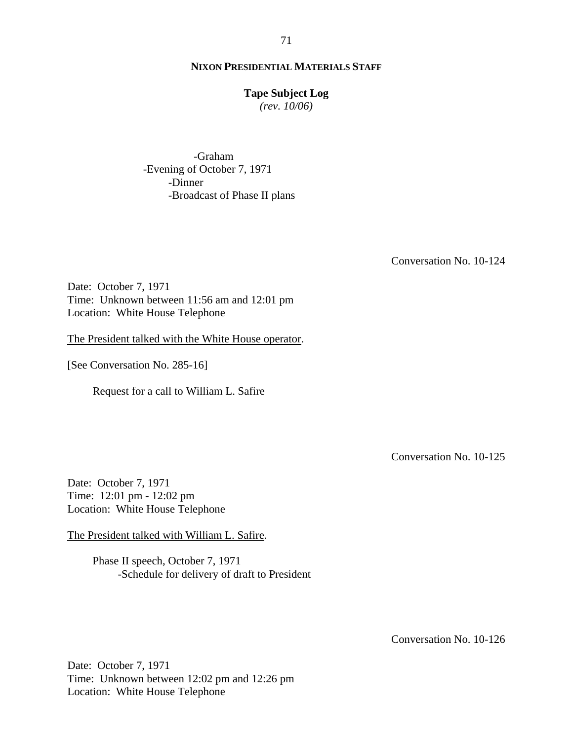#### **Tape Subject Log**

*(rev. 10/06)*

-Graham -Evening of October 7, 1971 -Dinner -Broadcast of Phase II plans

Conversation No. 10-124

Date: October 7, 1971 Time: Unknown between 11:56 am and 12:01 pm Location: White House Telephone

The President talked with the White House operator.

[See Conversation No. 285-16]

Request for a call to William L. Safire

Conversation No. 10-125

Date: October 7, 1971 Time: 12:01 pm - 12:02 pm Location: White House Telephone

The President talked with William L. Safire.

Phase II speech, October 7, 1971 -Schedule for delivery of draft to President

Conversation No. 10-126

Date: October 7, 1971 Time: Unknown between 12:02 pm and 12:26 pm Location: White House Telephone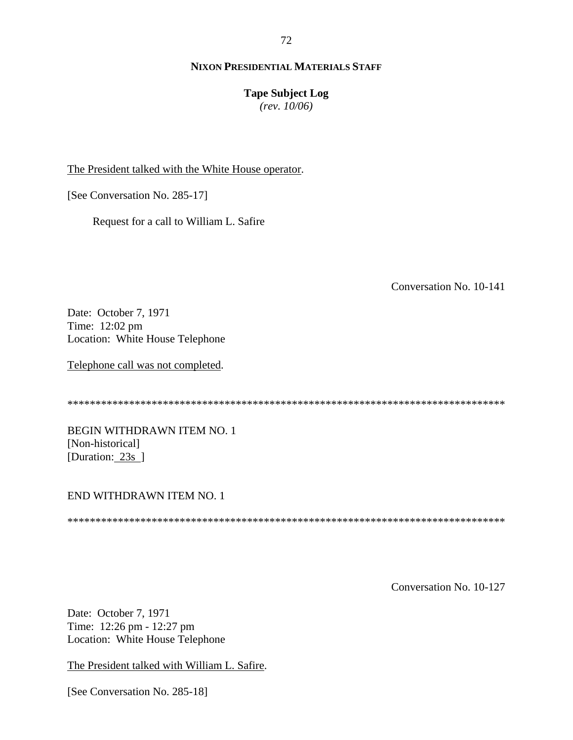#### 72

# **NIXON PRESIDENTIAL MATERIALS STAFF**

## **Tape Subject Log**

*(rev. 10/06)*

The President talked with the White House operator.

[See Conversation No. 285-17]

Request for a call to William L. Safire

Conversation No. 10-141

Date: October 7, 1971 Time: 12:02 pm Location: White House Telephone

Telephone call was not completed.

\*\*\*\*\*\*\*\*\*\*\*\*\*\*\*\*\*\*\*\*\*\*\*\*\*\*\*\*\*\*\*\*\*\*\*\*\*\*\*\*\*\*\*\*\*\*\*\*\*\*\*\*\*\*\*\*\*\*\*\*\*\*\*\*\*\*\*\*\*\*\*\*\*\*\*\*\*\*

BEGIN WITHDRAWN ITEM NO. 1 [Non-historical] [Duration: 23s ]

## END WITHDRAWN ITEM NO. 1

\*\*\*\*\*\*\*\*\*\*\*\*\*\*\*\*\*\*\*\*\*\*\*\*\*\*\*\*\*\*\*\*\*\*\*\*\*\*\*\*\*\*\*\*\*\*\*\*\*\*\*\*\*\*\*\*\*\*\*\*\*\*\*\*\*\*\*\*\*\*\*\*\*\*\*\*\*\*

Conversation No. 10-127

Date: October 7, 1971 Time: 12:26 pm - 12:27 pm Location: White House Telephone

The President talked with William L. Safire.

[See Conversation No. 285-18]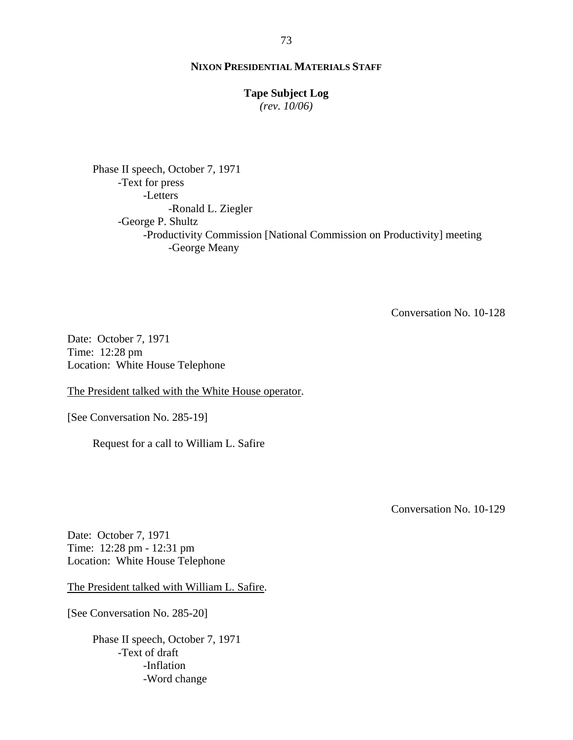## **Tape Subject Log**

*(rev. 10/06)*

Phase II speech, October 7, 1971 -Text for press -Letters -Ronald L. Ziegler -George P. Shultz -Productivity Commission [National Commission on Productivity] meeting -George Meany

Conversation No. 10-128

Date: October 7, 1971 Time: 12:28 pm Location: White House Telephone

The President talked with the White House operator.

[See Conversation No. 285-19]

Request for a call to William L. Safire

Conversation No. 10-129

Date: October 7, 1971 Time: 12:28 pm - 12:31 pm Location: White House Telephone

The President talked with William L. Safire.

[See Conversation No. 285-20]

Phase II speech, October 7, 1971 -Text of draft -Inflation -Word change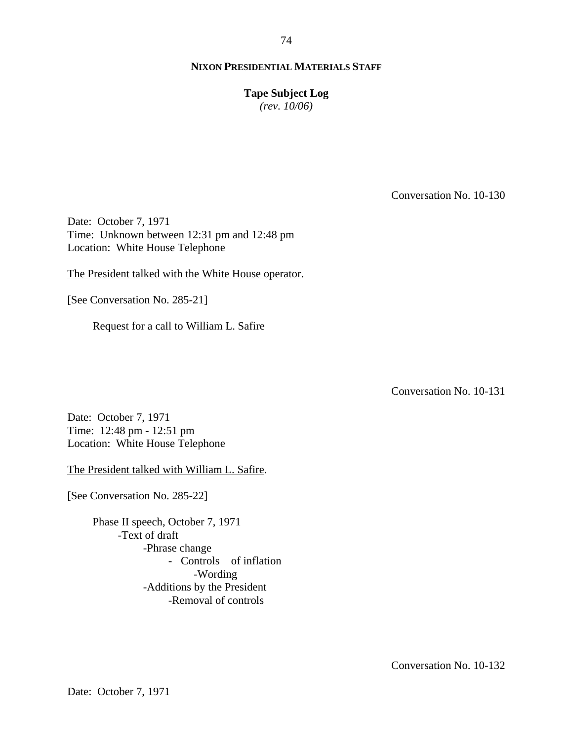**Tape Subject Log**

*(rev. 10/06)*

Conversation No. 10-130

Date: October 7, 1971 Time: Unknown between 12:31 pm and 12:48 pm Location: White House Telephone

The President talked with the White House operator.

[See Conversation No. 285-21]

Request for a call to William L. Safire

Conversation No. 10-131

Date: October 7, 1971 Time: 12:48 pm - 12:51 pm Location: White House Telephone

The President talked with William L. Safire.

[See Conversation No. 285-22]

Phase II speech, October 7, 1971 -Text of draft -Phrase change -Controls of inflation -Wording -Additions by the President -Removal of controls

Conversation No. 10-132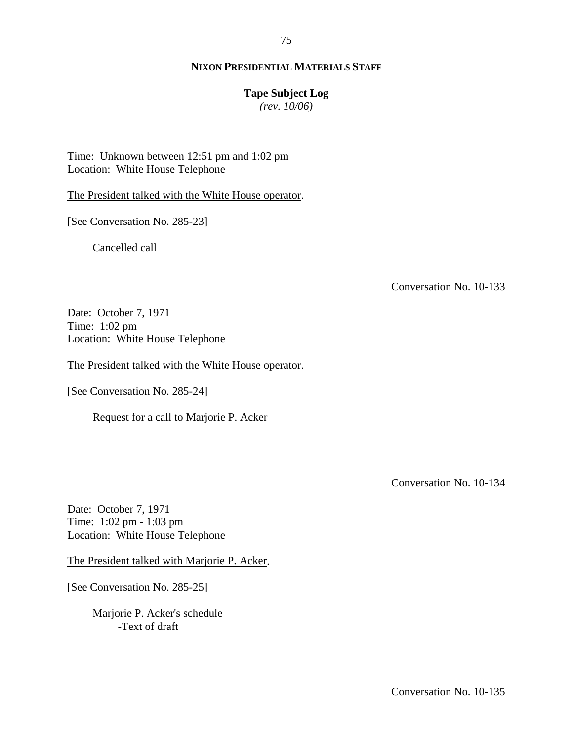75

### **Tape Subject Log**

*(rev. 10/06)*

Time: Unknown between 12:51 pm and 1:02 pm Location: White House Telephone

The President talked with the White House operator.

[See Conversation No. 285-23]

Cancelled call

Conversation No. 10-133

Date: October 7, 1971 Time: 1:02 pm Location: White House Telephone

The President talked with the White House operator.

[See Conversation No. 285-24]

Request for a call to Marjorie P. Acker

Conversation No. 10-134

Date: October 7, 1971 Time: 1:02 pm - 1:03 pm Location: White House Telephone

The President talked with Marjorie P. Acker.

[See Conversation No. 285-25]

Marjorie P. Acker's schedule -Text of draft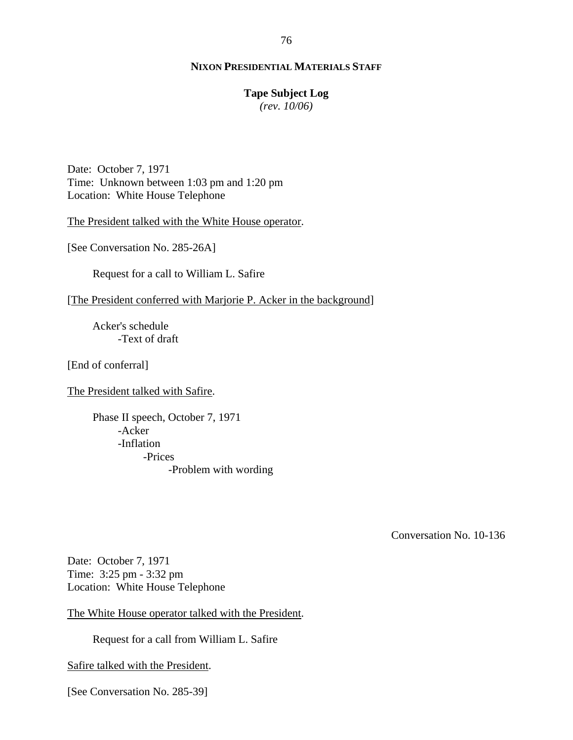### **Tape Subject Log**

*(rev. 10/06)*

Date: October 7, 1971 Time: Unknown between 1:03 pm and 1:20 pm Location: White House Telephone

The President talked with the White House operator.

[See Conversation No. 285-26A]

Request for a call to William L. Safire

[The President conferred with Marjorie P. Acker in the background]

Acker's schedule -Text of draft

[End of conferral]

The President talked with Safire.

Phase II speech, October 7, 1971 -Acker -Inflation -Prices -Problem with wording

Conversation No. 10-136

Date: October 7, 1971 Time: 3:25 pm - 3:32 pm Location: White House Telephone

The White House operator talked with the President.

Request for a call from William L. Safire

Safire talked with the President.

[See Conversation No. 285-39]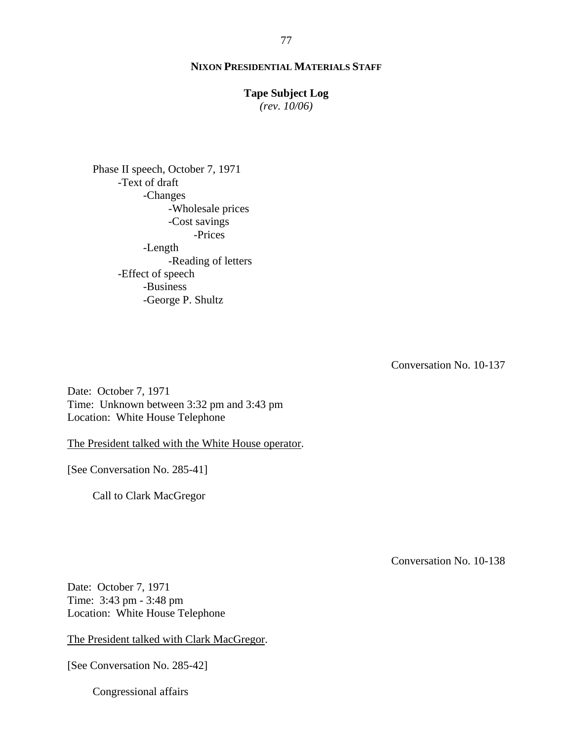### **Tape Subject Log**

*(rev. 10/06)*

Phase II speech, October 7, 1971 -Text of draft -Changes -Wholesale prices -Cost savings -Prices -Length -Reading of letters -Effect of speech -Business -George P. Shultz

Conversation No. 10-137

Date: October 7, 1971 Time: Unknown between 3:32 pm and 3:43 pm Location: White House Telephone

The President talked with the White House operator.

[See Conversation No. 285-41]

Call to Clark MacGregor

Conversation No. 10-138

Date: October 7, 1971 Time: 3:43 pm - 3:48 pm Location: White House Telephone

The President talked with Clark MacGregor.

[See Conversation No. 285-42]

Congressional affairs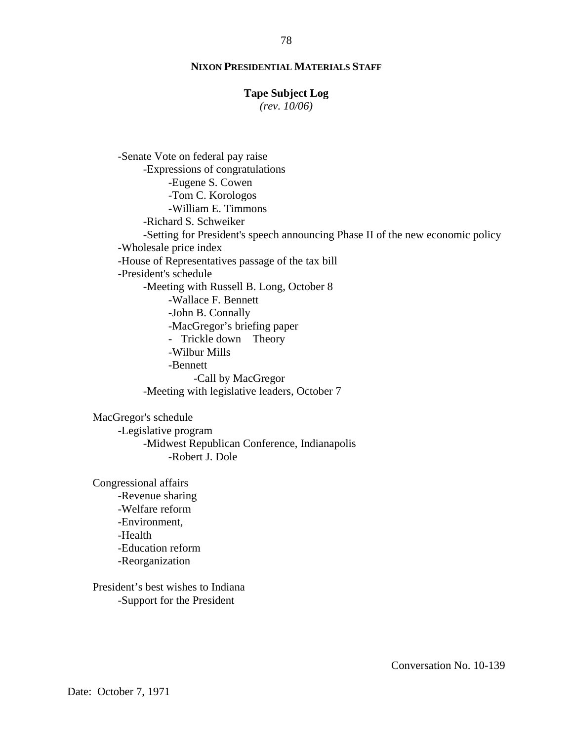### **Tape Subject Log**

*(rev. 10/06)*

-Senate Vote on federal pay raise -Expressions of congratulations -Eugene S. Cowen -Tom C. Korologos -William E. Timmons -Richard S. Schweiker -Setting for President's speech announcing Phase II of the new economic policy -Wholesale price index -House of Representatives passage of the tax bill -President's schedule -Meeting with Russell B. Long, October 8 -Wallace F. Bennett -John B. Connally -MacGregor's briefing paper - Trickle down Theory -Wilbur Mills -Bennett -Call by MacGregor -Meeting with legislative leaders, October 7

MacGregor's schedule -Legislative program -Midwest Republican Conference, Indianapolis -Robert J. Dole

Congressional affairs -Revenue sharing -Welfare reform -Environment, -Health -Education reform -Reorganization

President's best wishes to Indiana -Support for the President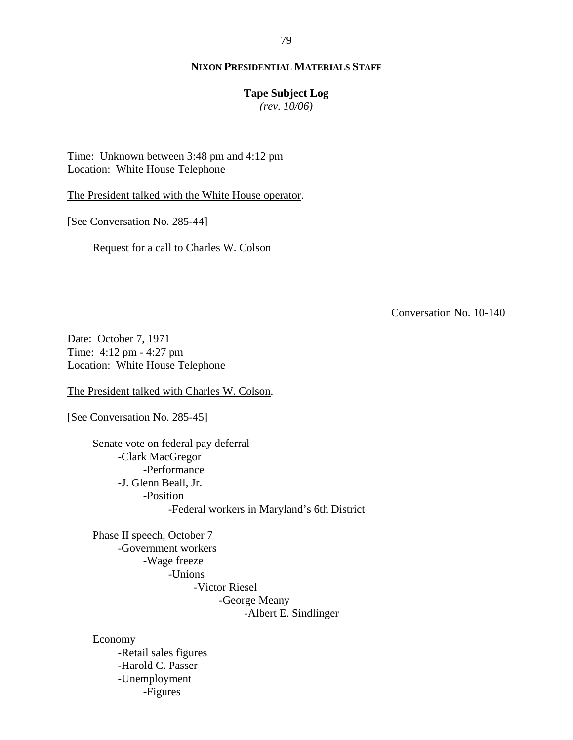### **Tape Subject Log**

*(rev. 10/06)*

Time: Unknown between 3:48 pm and 4:12 pm Location: White House Telephone

The President talked with the White House operator.

[See Conversation No. 285-44]

Request for a call to Charles W. Colson

Conversation No. 10-140

Date: October 7, 1971 Time: 4:12 pm - 4:27 pm Location: White House Telephone

The President talked with Charles W. Colson.

[See Conversation No. 285-45]

Senate vote on federal pay deferral -Clark MacGregor -Performance -J. Glenn Beall, Jr. -Position -Federal workers in Maryland's 6th District

Phase II speech, October 7 -Government workers -Wage freeze -Unions -Victor Riesel -George Meany

-Albert E. Sindlinger

Economy -Retail sales figures -Harold C. Passer -Unemployment -Figures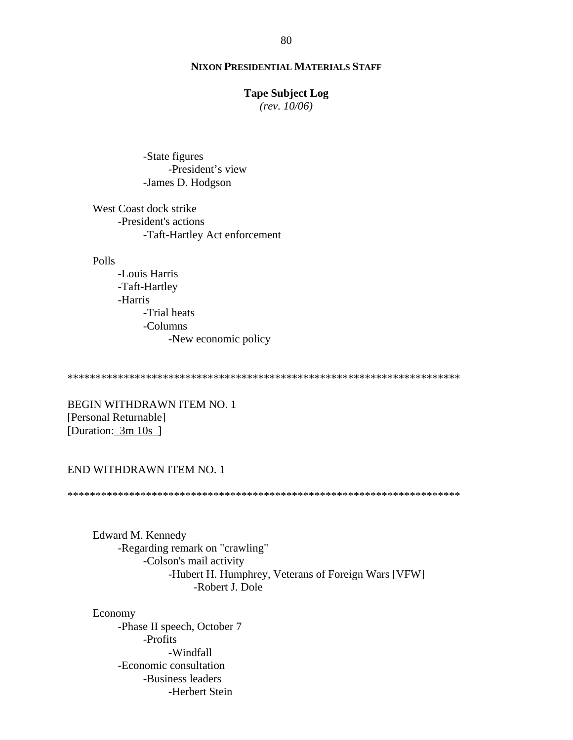### **Tape Subject Log**

*(rev. 10/06)*

-State figures -President's view -James D. Hodgson

West Coast dock strike -President's actions -Taft-Hartley Act enforcement

#### Polls

-Louis Harris -Taft-Hartley -Harris -Trial heats -Columns -New economic policy

\*\*\*\*\*\*\*\*\*\*\*\*\*\*\*\*\*\*\*\*\*\*\*\*\*\*\*\*\*\*\*\*\*\*\*\*\*\*\*\*\*\*\*\*\*\*\*\*\*\*\*\*\*\*\*\*\*\*\*\*\*\*\*\*\*\*\*\*\*\*

BEGIN WITHDRAWN ITEM NO. 1 [Personal Returnable] [Duration: 3m 10s ]

## END WITHDRAWN ITEM NO. 1

\*\*\*\*\*\*\*\*\*\*\*\*\*\*\*\*\*\*\*\*\*\*\*\*\*\*\*\*\*\*\*\*\*\*\*\*\*\*\*\*\*\*\*\*\*\*\*\*\*\*\*\*\*\*\*\*\*\*\*\*\*\*\*\*\*\*\*\*\*\*

Edward M. Kennedy -Regarding remark on "crawling" -Colson's mail activity -Hubert H. Humphrey, Veterans of Foreign Wars [VFW] -Robert J. Dole

Economy -Phase II speech, October 7 -Profits -Windfall -Economic consultation -Business leaders -Herbert Stein